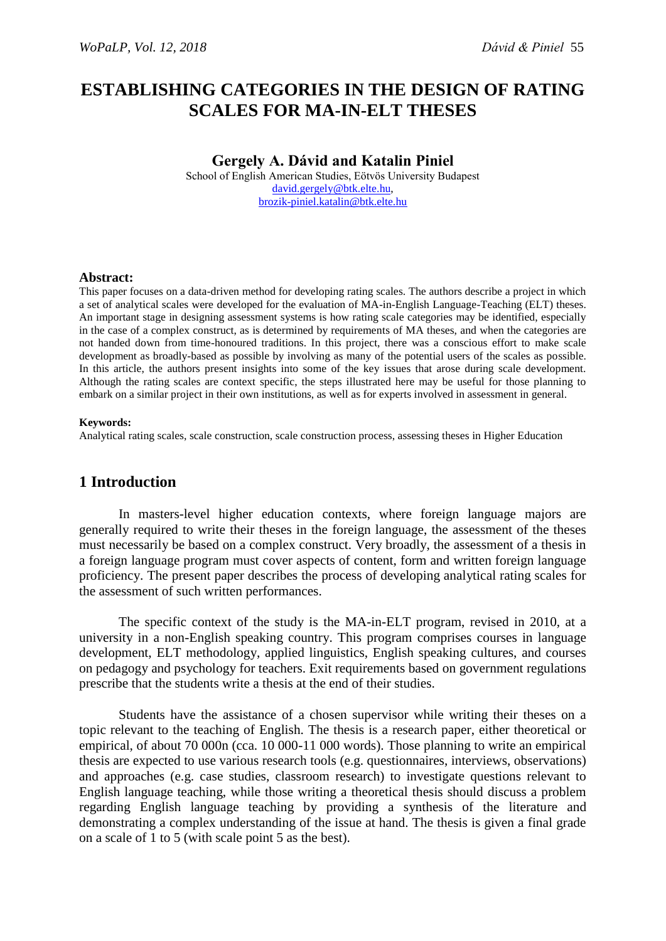# **ESTABLISHING CATEGORIES IN THE DESIGN OF RATING SCALES FOR MA-IN-ELT THESES**

### **Gergely A. Dávid and Katalin Piniel**

School of English American Studies, Eötvös University Budapest [david.gergely@btk.elte.hu,](mailto:david.gergely@btk.elte.hu)  [brozik-piniel.katalin@btk.elte.hu](mailto:brozik-piniel.katalin@btk.elte.hu)

#### **Abstract:**

This paper focuses on a data-driven method for developing rating scales. The authors describe a project in which a set of analytical scales were developed for the evaluation of MA-in-English Language-Teaching (ELT) theses. An important stage in designing assessment systems is how rating scale categories may be identified, especially in the case of a complex construct, as is determined by requirements of MA theses, and when the categories are not handed down from time-honoured traditions. In this project, there was a conscious effort to make scale development as broadly-based as possible by involving as many of the potential users of the scales as possible. In this article, the authors present insights into some of the key issues that arose during scale development. Although the rating scales are context specific, the steps illustrated here may be useful for those planning to embark on a similar project in their own institutions, as well as for experts involved in assessment in general.

#### **Keywords:**

Analytical rating scales, scale construction, scale construction process, assessing theses in Higher Education

# **1 Introduction**

In masters-level higher education contexts, where foreign language majors are generally required to write their theses in the foreign language, the assessment of the theses must necessarily be based on a complex construct. Very broadly, the assessment of a thesis in a foreign language program must cover aspects of content, form and written foreign language proficiency. The present paper describes the process of developing analytical rating scales for the assessment of such written performances.

The specific context of the study is the MA-in-ELT program, revised in 2010, at a university in a non-English speaking country. This program comprises courses in language development, ELT methodology, applied linguistics, English speaking cultures, and courses on pedagogy and psychology for teachers. Exit requirements based on government regulations prescribe that the students write a thesis at the end of their studies.

Students have the assistance of a chosen supervisor while writing their theses on a topic relevant to the teaching of English. The thesis is a research paper, either theoretical or empirical, of about 70 000n (cca. 10 000-11 000 words). Those planning to write an empirical thesis are expected to use various research tools (e.g. questionnaires, interviews, observations) and approaches (e.g. case studies, classroom research) to investigate questions relevant to English language teaching, while those writing a theoretical thesis should discuss a problem regarding English language teaching by providing a synthesis of the literature and demonstrating a complex understanding of the issue at hand. The thesis is given a final grade on a scale of 1 to 5 (with scale point 5 as the best).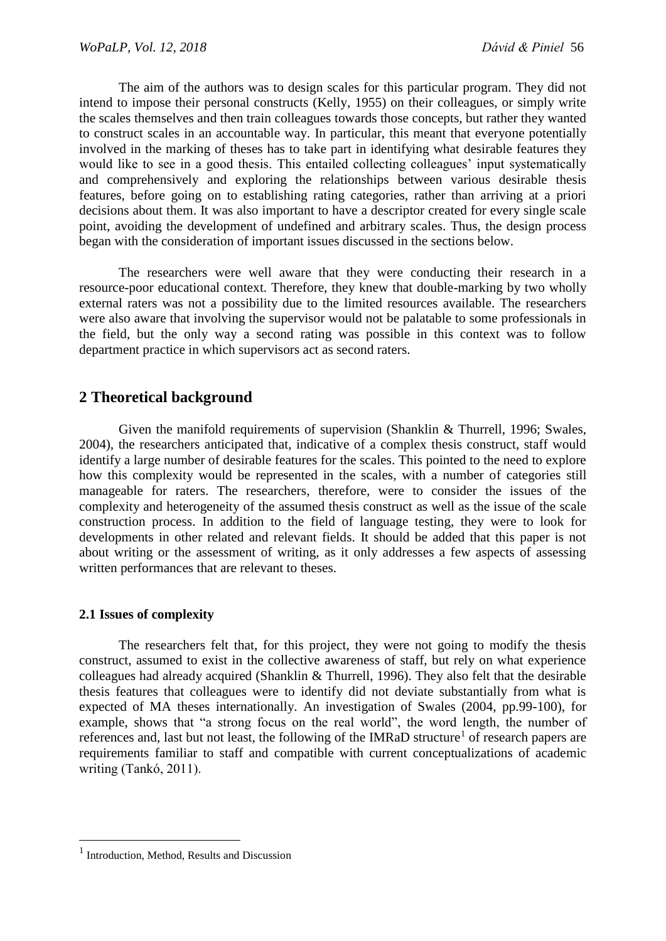The aim of the authors was to design scales for this particular program. They did not intend to impose their personal constructs (Kelly, 1955) on their colleagues, or simply write the scales themselves and then train colleagues towards those concepts, but rather they wanted to construct scales in an accountable way. In particular, this meant that everyone potentially involved in the marking of theses has to take part in identifying what desirable features they would like to see in a good thesis. This entailed collecting colleagues' input systematically and comprehensively and exploring the relationships between various desirable thesis features, before going on to establishing rating categories, rather than arriving at a priori decisions about them. It was also important to have a descriptor created for every single scale point, avoiding the development of undefined and arbitrary scales. Thus, the design process began with the consideration of important issues discussed in the sections below.

The researchers were well aware that they were conducting their research in a resource-poor educational context. Therefore, they knew that double-marking by two wholly external raters was not a possibility due to the limited resources available. The researchers were also aware that involving the supervisor would not be palatable to some professionals in the field, but the only way a second rating was possible in this context was to follow department practice in which supervisors act as second raters.

# **2 Theoretical background**

Given the manifold requirements of supervision (Shanklin & Thurrell, 1996; Swales, 2004), the researchers anticipated that, indicative of a complex thesis construct, staff would identify a large number of desirable features for the scales. This pointed to the need to explore how this complexity would be represented in the scales, with a number of categories still manageable for raters. The researchers, therefore, were to consider the issues of the complexity and heterogeneity of the assumed thesis construct as well as the issue of the scale construction process. In addition to the field of language testing, they were to look for developments in other related and relevant fields. It should be added that this paper is not about writing or the assessment of writing, as it only addresses a few aspects of assessing written performances that are relevant to theses.

### **2.1 Issues of complexity**

The researchers felt that, for this project, they were not going to modify the thesis construct, assumed to exist in the collective awareness of staff, but rely on what experience colleagues had already acquired (Shanklin & Thurrell, 1996). They also felt that the desirable thesis features that colleagues were to identify did not deviate substantially from what is expected of MA theses internationally. An investigation of Swales (2004, pp.99-100), for example, shows that "a strong focus on the real world", the word length, the number of references and, last but not least, the following of the IMRaD structure<sup>1</sup> of research papers are requirements familiar to staff and compatible with current conceptualizations of academic writing (Tankó, 2011).

1

<sup>1</sup> Introduction, Method, Results and Discussion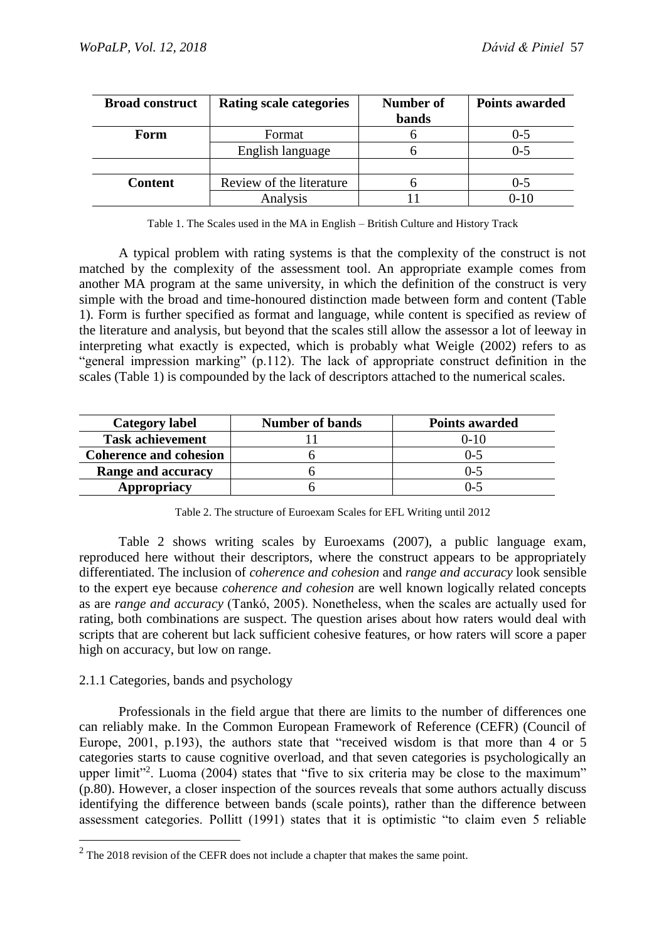| <b>Broad construct</b> | <b>Rating scale categories</b> | Number of    | <b>Points awarded</b> |
|------------------------|--------------------------------|--------------|-----------------------|
|                        |                                | <b>bands</b> |                       |
| Form                   | Format                         |              | $0 - 5$               |
|                        | English language               |              | $0 - 5$               |
|                        |                                |              |                       |
| <b>Content</b>         | Review of the literature       |              | $0 - 5$               |
|                        | Analysis                       |              | 0-10                  |

Table 1. The Scales used in the MA in English – British Culture and History Track

A typical problem with rating systems is that the complexity of the construct is not matched by the complexity of the assessment tool. An appropriate example comes from another MA program at the same university, in which the definition of the construct is very simple with the broad and time-honoured distinction made between form and content (Table 1). Form is further specified as format and language, while content is specified as review of the literature and analysis, but beyond that the scales still allow the assessor a lot of leeway in interpreting what exactly is expected, which is probably what Weigle (2002) refers to as "general impression marking" (p.112). The lack of appropriate construct definition in the scales (Table 1) is compounded by the lack of descriptors attached to the numerical scales.

| <b>Category label</b>         | <b>Number of bands</b> | <b>Points awarded</b> |
|-------------------------------|------------------------|-----------------------|
| <b>Task achievement</b>       |                        | 0-10                  |
| <b>Coherence and cohesion</b> |                        | $() - 5$              |
| Range and accuracy            |                        | ()-5                  |
| Appropriacy                   |                        | -- ۱                  |

Table 2. The structure of Euroexam Scales for EFL Writing until 2012

Table 2 shows writing scales by Euroexams (2007), a public language exam, reproduced here without their descriptors, where the construct appears to be appropriately differentiated. The inclusion of *coherence and cohesion* and *range and accuracy* look sensible to the expert eye because *coherence and cohesion* are well known logically related concepts as are *range and accuracy* (Tankó, 2005). Nonetheless, when the scales are actually used for rating, both combinations are suspect. The question arises about how raters would deal with scripts that are coherent but lack sufficient cohesive features, or how raters will score a paper high on accuracy, but low on range.

#### 2.1.1 Categories, bands and psychology

1

Professionals in the field argue that there are limits to the number of differences one can reliably make. In the Common European Framework of Reference (CEFR) (Council of Europe, 2001, p.193), the authors state that "received wisdom is that more than 4 or 5 categories starts to cause cognitive overload, and that seven categories is psychologically an upper limit<sup>32</sup>. Luoma (2004) states that "five to six criteria may be close to the maximum" (p.80). However, a closer inspection of the sources reveals that some authors actually discuss identifying the difference between bands (scale points), rather than the difference between assessment categories. Pollitt (1991) states that it is optimistic "to claim even 5 reliable

<sup>&</sup>lt;sup>2</sup> The 2018 revision of the CEFR does not include a chapter that makes the same point.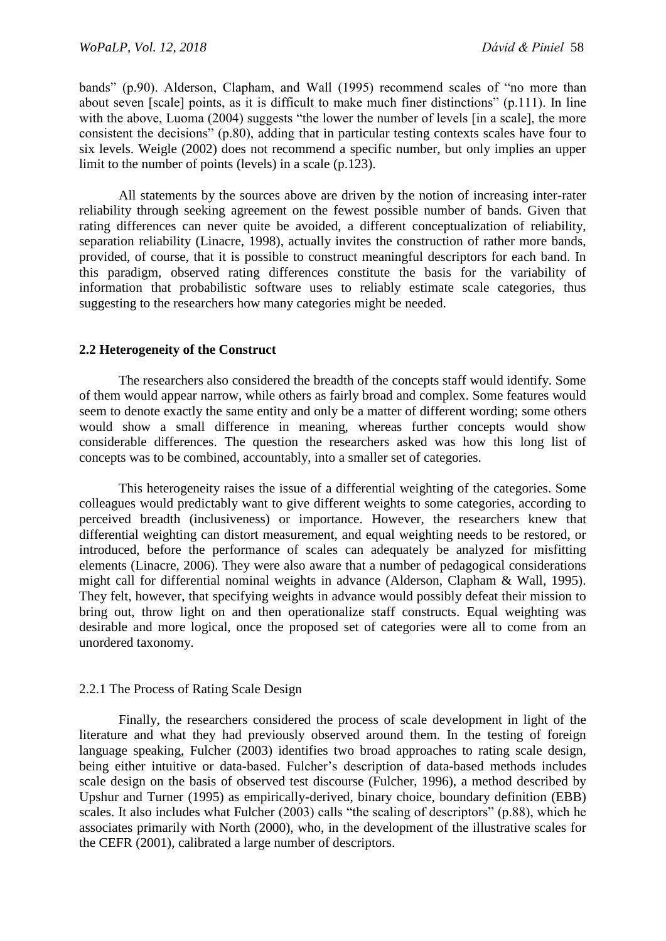bands" (p.90). Alderson, Clapham, and Wall (1995) recommend scales of "no more than about seven [scale] points, as it is difficult to make much finer distinctions" (p.111). In line with the above, Luoma (2004) suggests "the lower the number of levels [in a scale], the more consistent the decisions" (p.80), adding that in particular testing contexts scales have four to six levels. Weigle (2002) does not recommend a specific number, but only implies an upper limit to the number of points (levels) in a scale (p.123).

All statements by the sources above are driven by the notion of increasing inter-rater reliability through seeking agreement on the fewest possible number of bands. Given that rating differences can never quite be avoided, a different conceptualization of reliability, separation reliability (Linacre, 1998), actually invites the construction of rather more bands, provided, of course, that it is possible to construct meaningful descriptors for each band. In this paradigm, observed rating differences constitute the basis for the variability of information that probabilistic software uses to reliably estimate scale categories, thus suggesting to the researchers how many categories might be needed.

#### **2.2 Heterogeneity of the Construct**

The researchers also considered the breadth of the concepts staff would identify. Some of them would appear narrow, while others as fairly broad and complex. Some features would seem to denote exactly the same entity and only be a matter of different wording; some others would show a small difference in meaning, whereas further concepts would show considerable differences. The question the researchers asked was how this long list of concepts was to be combined, accountably, into a smaller set of categories.

This heterogeneity raises the issue of a differential weighting of the categories. Some colleagues would predictably want to give different weights to some categories, according to perceived breadth (inclusiveness) or importance. However, the researchers knew that differential weighting can distort measurement, and equal weighting needs to be restored, or introduced, before the performance of scales can adequately be analyzed for misfitting elements (Linacre, 2006). They were also aware that a number of pedagogical considerations might call for differential nominal weights in advance (Alderson, Clapham & Wall, 1995). They felt, however, that specifying weights in advance would possibly defeat their mission to bring out, throw light on and then operationalize staff constructs. Equal weighting was desirable and more logical, once the proposed set of categories were all to come from an unordered taxonomy.

#### 2.2.1 The Process of Rating Scale Design

Finally, the researchers considered the process of scale development in light of the literature and what they had previously observed around them. In the testing of foreign language speaking, Fulcher (2003) identifies two broad approaches to rating scale design, being either intuitive or data-based. Fulcher's description of data-based methods includes scale design on the basis of observed test discourse (Fulcher, 1996), a method described by Upshur and Turner (1995) as empirically-derived, binary choice, boundary definition (EBB) scales. It also includes what Fulcher (2003) calls "the scaling of descriptors" (p.88), which he associates primarily with North (2000), who, in the development of the illustrative scales for the CEFR (2001), calibrated a large number of descriptors.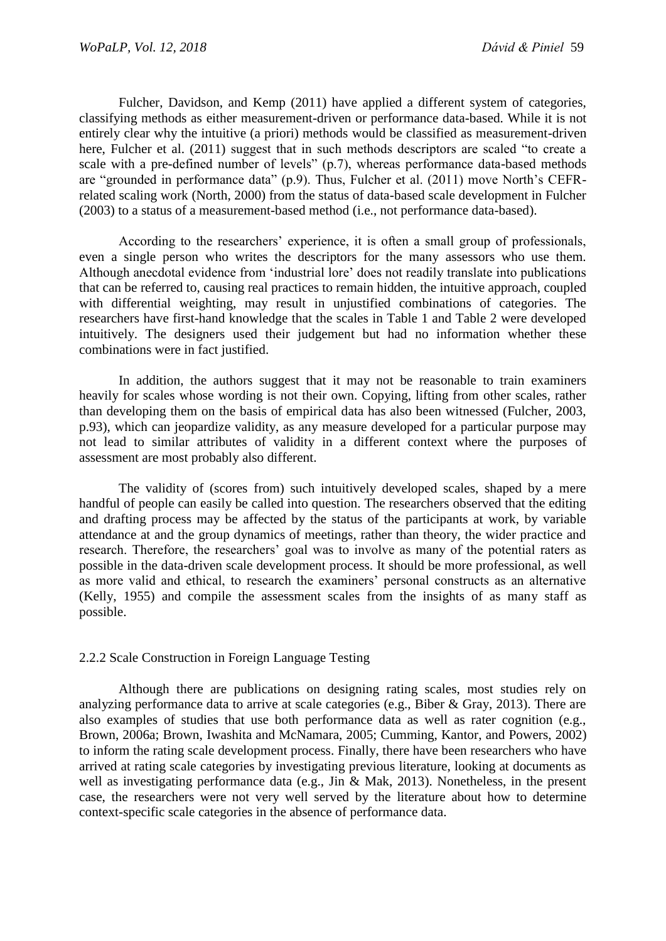Fulcher, Davidson, and Kemp (2011) have applied a different system of categories, classifying methods as either measurement-driven or performance data-based. While it is not entirely clear why the intuitive (a priori) methods would be classified as measurement-driven here, Fulcher et al. (2011) suggest that in such methods descriptors are scaled "to create a scale with a pre-defined number of levels" (p.7), whereas performance data-based methods are "grounded in performance data" (p.9). Thus, Fulcher et al. (2011) move North's CEFRrelated scaling work (North, 2000) from the status of data-based scale development in Fulcher (2003) to a status of a measurement-based method (i.e., not performance data-based).

According to the researchers' experience, it is often a small group of professionals, even a single person who writes the descriptors for the many assessors who use them. Although anecdotal evidence from 'industrial lore' does not readily translate into publications that can be referred to, causing real practices to remain hidden, the intuitive approach, coupled with differential weighting, may result in unjustified combinations of categories. The researchers have first-hand knowledge that the scales in Table 1 and Table 2 were developed intuitively. The designers used their judgement but had no information whether these combinations were in fact justified.

In addition, the authors suggest that it may not be reasonable to train examiners heavily for scales whose wording is not their own. Copying, lifting from other scales, rather than developing them on the basis of empirical data has also been witnessed (Fulcher, 2003, p.93), which can jeopardize validity, as any measure developed for a particular purpose may not lead to similar attributes of validity in a different context where the purposes of assessment are most probably also different.

The validity of (scores from) such intuitively developed scales, shaped by a mere handful of people can easily be called into question. The researchers observed that the editing and drafting process may be affected by the status of the participants at work, by variable attendance at and the group dynamics of meetings, rather than theory, the wider practice and research. Therefore, the researchers' goal was to involve as many of the potential raters as possible in the data-driven scale development process. It should be more professional, as well as more valid and ethical, to research the examiners' personal constructs as an alternative (Kelly, 1955) and compile the assessment scales from the insights of as many staff as possible.

#### 2.2.2 Scale Construction in Foreign Language Testing

Although there are publications on designing rating scales, most studies rely on analyzing performance data to arrive at scale categories (e.g., Biber & Gray, 2013). There are also examples of studies that use both performance data as well as rater cognition (e.g., Brown, 2006a; Brown, Iwashita and McNamara, 2005; Cumming, Kantor, and Powers, 2002) to inform the rating scale development process. Finally, there have been researchers who have arrived at rating scale categories by investigating previous literature, looking at documents as well as investigating performance data (e.g., Jin & Mak, 2013). Nonetheless, in the present case, the researchers were not very well served by the literature about how to determine context-specific scale categories in the absence of performance data.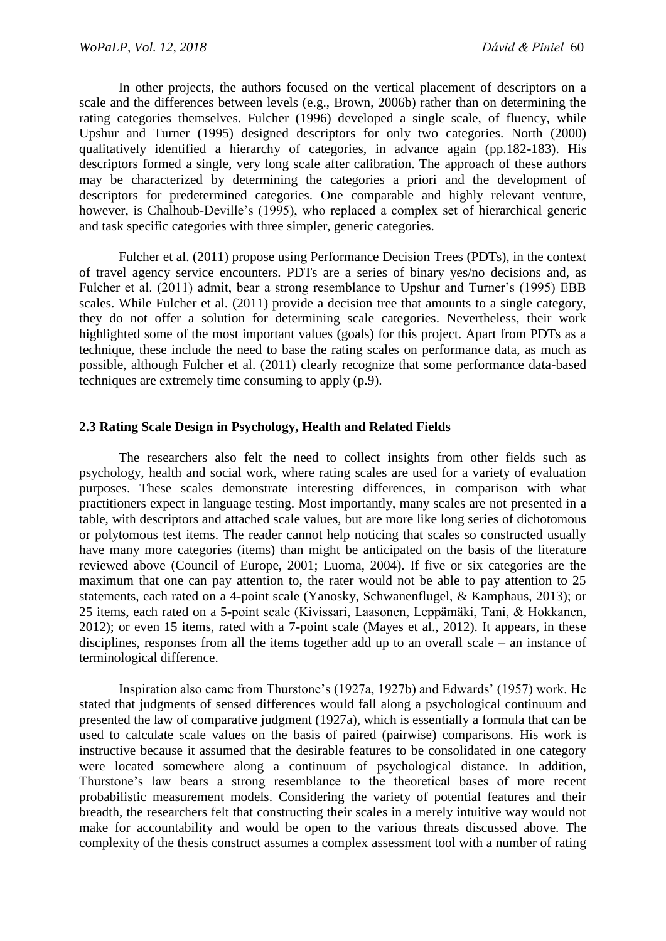In other projects, the authors focused on the vertical placement of descriptors on a scale and the differences between levels (e.g., Brown, 2006b) rather than on determining the rating categories themselves. Fulcher (1996) developed a single scale, of fluency, while Upshur and Turner (1995) designed descriptors for only two categories. North (2000) qualitatively identified a hierarchy of categories, in advance again (pp.182-183). His descriptors formed a single, very long scale after calibration. The approach of these authors may be characterized by determining the categories a priori and the development of descriptors for predetermined categories. One comparable and highly relevant venture, however, is Chalhoub-Deville's (1995), who replaced a complex set of hierarchical generic and task specific categories with three simpler, generic categories.

Fulcher et al. (2011) propose using Performance Decision Trees (PDTs), in the context of travel agency service encounters. PDTs are a series of binary yes/no decisions and, as Fulcher et al. (2011) admit, bear a strong resemblance to Upshur and Turner's (1995) EBB scales. While Fulcher et al. (2011) provide a decision tree that amounts to a single category, they do not offer a solution for determining scale categories. Nevertheless, their work highlighted some of the most important values (goals) for this project. Apart from PDTs as a technique, these include the need to base the rating scales on performance data, as much as possible, although Fulcher et al. (2011) clearly recognize that some performance data-based techniques are extremely time consuming to apply (p.9).

#### **2.3 Rating Scale Design in Psychology, Health and Related Fields**

The researchers also felt the need to collect insights from other fields such as psychology, health and social work, where rating scales are used for a variety of evaluation purposes. These scales demonstrate interesting differences, in comparison with what practitioners expect in language testing. Most importantly, many scales are not presented in a table, with descriptors and attached scale values, but are more like long series of dichotomous or polytomous test items. The reader cannot help noticing that scales so constructed usually have many more categories (items) than might be anticipated on the basis of the literature reviewed above (Council of Europe, 2001; Luoma, 2004). If five or six categories are the maximum that one can pay attention to, the rater would not be able to pay attention to 25 statements, each rated on a 4-point scale (Yanosky, Schwanenflugel, & Kamphaus, 2013); or 25 items, each rated on a 5-point scale (Kivissari, Laasonen, Leppämäki, Tani, & Hokkanen, 2012); or even 15 items, rated with a 7-point scale (Mayes et al., 2012). It appears, in these disciplines, responses from all the items together add up to an overall scale – an instance of terminological difference.

Inspiration also came from Thurstone's (1927a, 1927b) and Edwards' (1957) work. He stated that judgments of sensed differences would fall along a psychological continuum and presented the law of comparative judgment (1927a), which is essentially a formula that can be used to calculate scale values on the basis of paired (pairwise) comparisons. His work is instructive because it assumed that the desirable features to be consolidated in one category were located somewhere along a continuum of psychological distance. In addition, Thurstone's law bears a strong resemblance to the theoretical bases of more recent probabilistic measurement models. Considering the variety of potential features and their breadth, the researchers felt that constructing their scales in a merely intuitive way would not make for accountability and would be open to the various threats discussed above. The complexity of the thesis construct assumes a complex assessment tool with a number of rating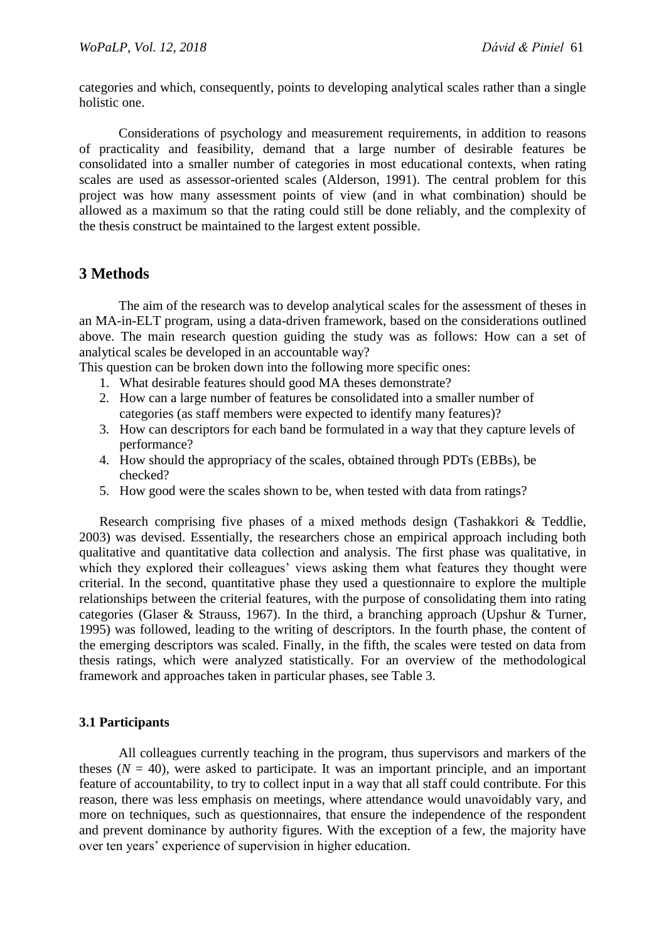categories and which, consequently, points to developing analytical scales rather than a single holistic one.

Considerations of psychology and measurement requirements, in addition to reasons of practicality and feasibility, demand that a large number of desirable features be consolidated into a smaller number of categories in most educational contexts, when rating scales are used as assessor-oriented scales (Alderson, 1991). The central problem for this project was how many assessment points of view (and in what combination) should be allowed as a maximum so that the rating could still be done reliably, and the complexity of the thesis construct be maintained to the largest extent possible.

# **3 Methods**

The aim of the research was to develop analytical scales for the assessment of theses in an MA-in-ELT program, using a data-driven framework, based on the considerations outlined above. The main research question guiding the study was as follows: How can a set of analytical scales be developed in an accountable way?

This question can be broken down into the following more specific ones:

- 1. What desirable features should good MA theses demonstrate?
- 2. How can a large number of features be consolidated into a smaller number of categories (as staff members were expected to identify many features)?
- 3. How can descriptors for each band be formulated in a way that they capture levels of performance?
- 4. How should the appropriacy of the scales, obtained through PDTs (EBBs), be checked?
- 5. How good were the scales shown to be, when tested with data from ratings?

Research comprising five phases of a mixed methods design (Tashakkori & Teddlie, 2003) was devised. Essentially, the researchers chose an empirical approach including both qualitative and quantitative data collection and analysis. The first phase was qualitative, in which they explored their colleagues' views asking them what features they thought were criterial. In the second, quantitative phase they used a questionnaire to explore the multiple relationships between the criterial features, with the purpose of consolidating them into rating categories (Glaser & Strauss, 1967). In the third, a branching approach (Upshur & Turner, 1995) was followed, leading to the writing of descriptors. In the fourth phase, the content of the emerging descriptors was scaled. Finally, in the fifth, the scales were tested on data from thesis ratings, which were analyzed statistically. For an overview of the methodological framework and approaches taken in particular phases, see Table 3.

#### **3.1 Participants**

All colleagues currently teaching in the program, thus supervisors and markers of the theses  $(N = 40)$ , were asked to participate. It was an important principle, and an important feature of accountability, to try to collect input in a way that all staff could contribute. For this reason, there was less emphasis on meetings, where attendance would unavoidably vary, and more on techniques, such as questionnaires, that ensure the independence of the respondent and prevent dominance by authority figures. With the exception of a few, the majority have over ten years' experience of supervision in higher education.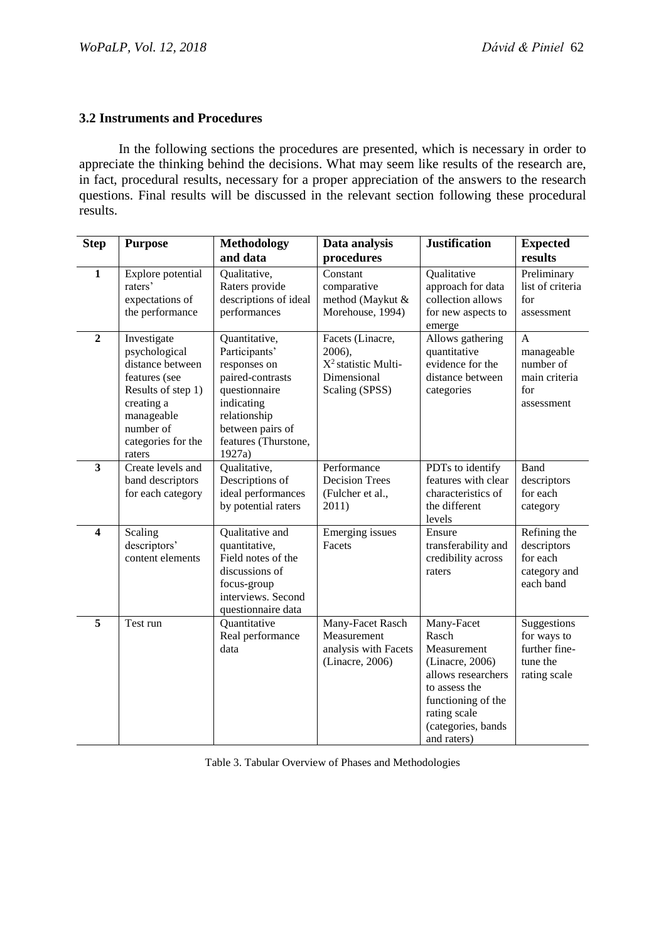### **3.2 Instruments and Procedures**

In the following sections the procedures are presented, which is necessary in order to appreciate the thinking behind the decisions. What may seem like results of the research are, in fact, procedural results, necessary for a proper appreciation of the answers to the research questions. Final results will be discussed in the relevant section following these procedural results.

| <b>Step</b>             | <b>Purpose</b>                                                                                                                                                   | <b>Methodology</b>                                                                                                                                                      | Data analysis                                                                         | <b>Justification</b>                                                                                                                                                    | <b>Expected</b>                                                         |
|-------------------------|------------------------------------------------------------------------------------------------------------------------------------------------------------------|-------------------------------------------------------------------------------------------------------------------------------------------------------------------------|---------------------------------------------------------------------------------------|-------------------------------------------------------------------------------------------------------------------------------------------------------------------------|-------------------------------------------------------------------------|
|                         |                                                                                                                                                                  | and data                                                                                                                                                                | procedures                                                                            |                                                                                                                                                                         | results                                                                 |
| $\mathbf{1}$            | Explore potential<br>raters'<br>expectations of<br>the performance                                                                                               | Qualitative,<br>Raters provide<br>descriptions of ideal<br>performances                                                                                                 | Constant<br>comparative<br>method (Maykut &<br>Morehouse, 1994)                       | Qualitative<br>approach for data<br>collection allows<br>for new aspects to<br>emerge                                                                                   | Preliminary<br>list of criteria<br>for<br>assessment                    |
| $\overline{2}$          | Investigate<br>psychological<br>distance between<br>features (see<br>Results of step 1)<br>creating a<br>manageable<br>number of<br>categories for the<br>raters | Quantitative,<br>Participants'<br>responses on<br>paired-contrasts<br>questionnaire<br>indicating<br>relationship<br>between pairs of<br>features (Thurstone,<br>1927a) | Facets (Linacre,<br>2006),<br>$X^2$ statistic Multi-<br>Dimensional<br>Scaling (SPSS) | Allows gathering<br>quantitative<br>evidence for the<br>distance between<br>categories                                                                                  | A<br>manageable<br>number of<br>main criteria<br>for<br>assessment      |
| $\overline{\mathbf{3}}$ | Create levels and<br>band descriptors<br>for each category                                                                                                       | Qualitative,<br>Descriptions of<br>ideal performances<br>by potential raters                                                                                            | Performance<br><b>Decision Trees</b><br>(Fulcher et al.,<br>2011)                     | PDTs to identify<br>features with clear<br>characteristics of<br>the different<br>levels                                                                                | Band<br>descriptors<br>for each<br>category                             |
| $\overline{\mathbf{4}}$ | Scaling<br>descriptors'<br>content elements                                                                                                                      | Qualitative and<br>quantitative,<br>Field notes of the<br>discussions of<br>focus-group<br>interviews. Second<br>questionnaire data                                     | Emerging issues<br>Facets                                                             | Ensure<br>transferability and<br>credibility across<br>raters                                                                                                           | Refining the<br>descriptors<br>for each<br>category and<br>each band    |
| $\overline{\mathbf{5}}$ | Test run                                                                                                                                                         | Quantitative<br>Real performance<br>data                                                                                                                                | Many-Facet Rasch<br>Measurement<br>analysis with Facets<br>(Linacre, 2006)            | Many-Facet<br>Rasch<br>Measurement<br>(Linacre, 2006)<br>allows researchers<br>to assess the<br>functioning of the<br>rating scale<br>(categories, bands<br>and raters) | Suggestions<br>for ways to<br>further fine-<br>tune the<br>rating scale |

Table 3. Tabular Overview of Phases and Methodologies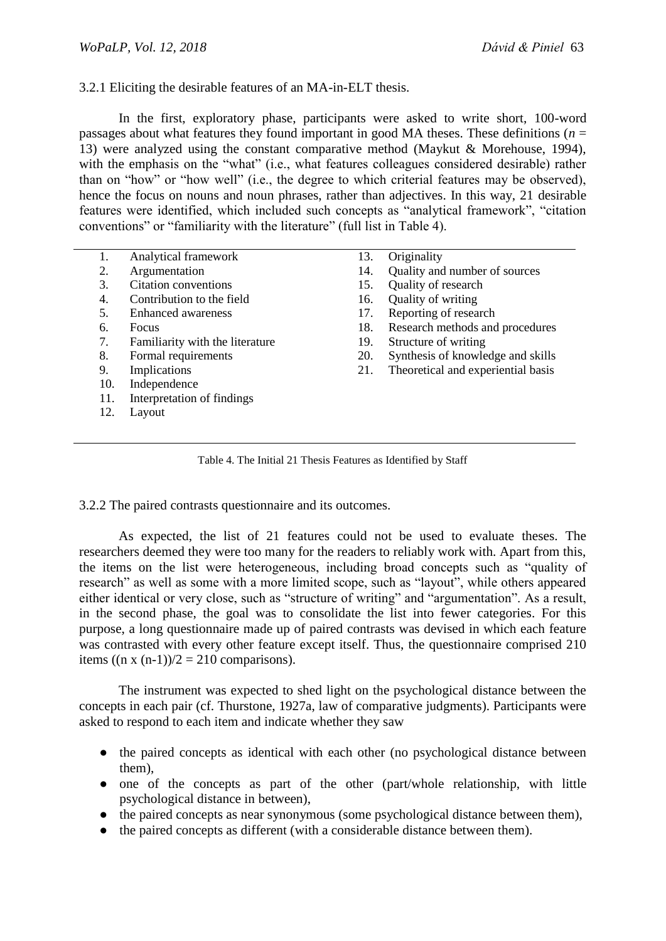#### 3.2.1 Eliciting the desirable features of an MA-in-ELT thesis.

In the first, exploratory phase, participants were asked to write short, 100-word passages about what features they found important in good MA theses. These definitions ( $n =$ 13) were analyzed using the constant comparative method (Maykut & Morehouse, 1994), with the emphasis on the "what" (i.e., what features colleagues considered desirable) rather than on "how" or "how well" (i.e., the degree to which criterial features may be observed), hence the focus on nouns and noun phrases, rather than adjectives. In this way, 21 desirable features were identified, which included such concepts as "analytical framework", "citation conventions" or "familiarity with the literature" (full list in Table 4).

| 1.  | Analytical framework            | 13. | Originality                        |
|-----|---------------------------------|-----|------------------------------------|
| 2.  | Argumentation                   | 14. | Quality and number of sources      |
| 3.  | Citation conventions            | 15. | Quality of research                |
| 4.  | Contribution to the field       | 16. | Quality of writing                 |
| 5.  | Enhanced awareness              | 17. | Reporting of research              |
| 6.  | <b>Focus</b>                    | 18. | Research methods and procedures    |
| 7.  | Familiarity with the literature | 19. | Structure of writing               |
| 8.  | Formal requirements             | 20. | Synthesis of knowledge and skills  |
| 9.  | Implications                    | 21. | Theoretical and experiential basis |
| 10. | Independence                    |     |                                    |
| 11. | Interpretation of findings      |     |                                    |
| 12. | Layout                          |     |                                    |
|     |                                 |     |                                    |
|     |                                 |     |                                    |
|     |                                 |     |                                    |

Table 4. The Initial 21 Thesis Features as Identified by Staff

3.2.2 The paired contrasts questionnaire and its outcomes.

As expected, the list of 21 features could not be used to evaluate theses. The researchers deemed they were too many for the readers to reliably work with. Apart from this, the items on the list were heterogeneous, including broad concepts such as "quality of research" as well as some with a more limited scope, such as "layout", while others appeared either identical or very close, such as "structure of writing" and "argumentation". As a result, in the second phase, the goal was to consolidate the list into fewer categories. For this purpose, a long questionnaire made up of paired contrasts was devised in which each feature was contrasted with every other feature except itself. Thus, the questionnaire comprised 210 items  $((n \times (n-1))/2 = 210$  comparisons).

The instrument was expected to shed light on the psychological distance between the concepts in each pair (cf. Thurstone, 1927a, law of comparative judgments). Participants were asked to respond to each item and indicate whether they saw

- the paired concepts as identical with each other (no psychological distance between them),
- one of the concepts as part of the other (part/whole relationship, with little psychological distance in between),
- the paired concepts as near synonymous (some psychological distance between them),
- the paired concepts as different (with a considerable distance between them).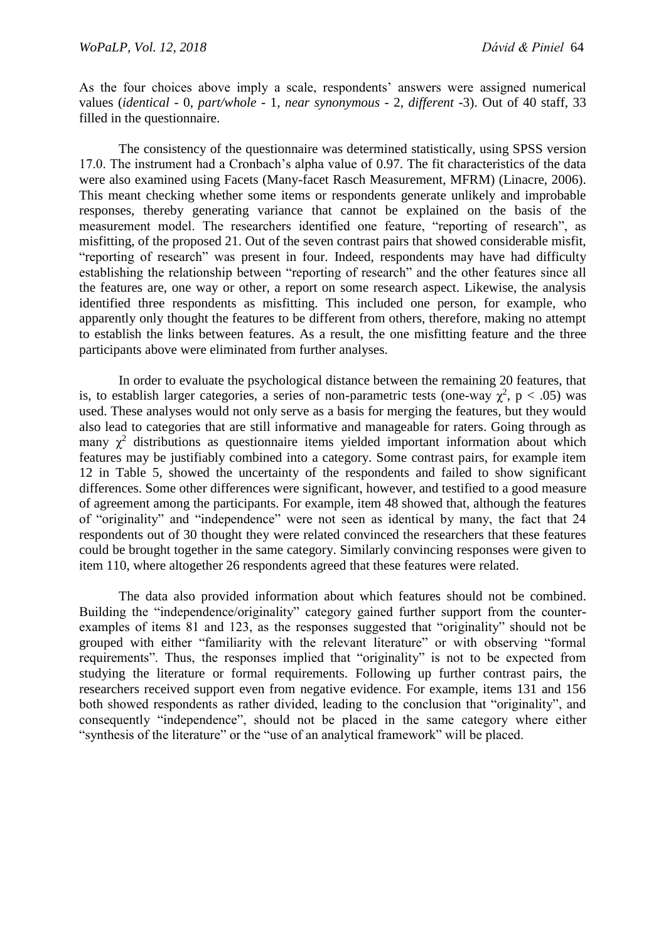As the four choices above imply a scale, respondents' answers were assigned numerical values (*identical* - 0, *part/whole* - 1, *near synonymous* - 2, *different* -3). Out of 40 staff, 33 filled in the questionnaire.

The consistency of the questionnaire was determined statistically, using SPSS version 17.0. The instrument had a Cronbach's alpha value of 0.97. The fit characteristics of the data were also examined using Facets (Many-facet Rasch Measurement, MFRM) (Linacre, 2006). This meant checking whether some items or respondents generate unlikely and improbable responses, thereby generating variance that cannot be explained on the basis of the measurement model. The researchers identified one feature, "reporting of research", as misfitting, of the proposed 21. Out of the seven contrast pairs that showed considerable misfit, "reporting of research" was present in four. Indeed, respondents may have had difficulty establishing the relationship between "reporting of research" and the other features since all the features are, one way or other, a report on some research aspect. Likewise, the analysis identified three respondents as misfitting. This included one person, for example, who apparently only thought the features to be different from others, therefore, making no attempt to establish the links between features. As a result, the one misfitting feature and the three participants above were eliminated from further analyses.

In order to evaluate the psychological distance between the remaining 20 features, that is, to establish larger categories, a series of non-parametric tests (one-way  $\chi^2$ , p < .05) was used. These analyses would not only serve as a basis for merging the features, but they would also lead to categories that are still informative and manageable for raters. Going through as many  $\chi^2$  distributions as questionnaire items yielded important information about which features may be justifiably combined into a category. Some contrast pairs, for example item 12 in Table 5, showed the uncertainty of the respondents and failed to show significant differences. Some other differences were significant, however, and testified to a good measure of agreement among the participants. For example, item 48 showed that, although the features of "originality" and "independence" were not seen as identical by many, the fact that 24 respondents out of 30 thought they were related convinced the researchers that these features could be brought together in the same category. Similarly convincing responses were given to item 110, where altogether 26 respondents agreed that these features were related.

The data also provided information about which features should not be combined. Building the "independence/originality" category gained further support from the counterexamples of items 81 and 123, as the responses suggested that "originality" should not be grouped with either "familiarity with the relevant literature" or with observing "formal requirements". Thus, the responses implied that "originality" is not to be expected from studying the literature or formal requirements. Following up further contrast pairs, the researchers received support even from negative evidence. For example, items 131 and 156 both showed respondents as rather divided, leading to the conclusion that "originality", and consequently "independence", should not be placed in the same category where either "synthesis of the literature" or the "use of an analytical framework" will be placed.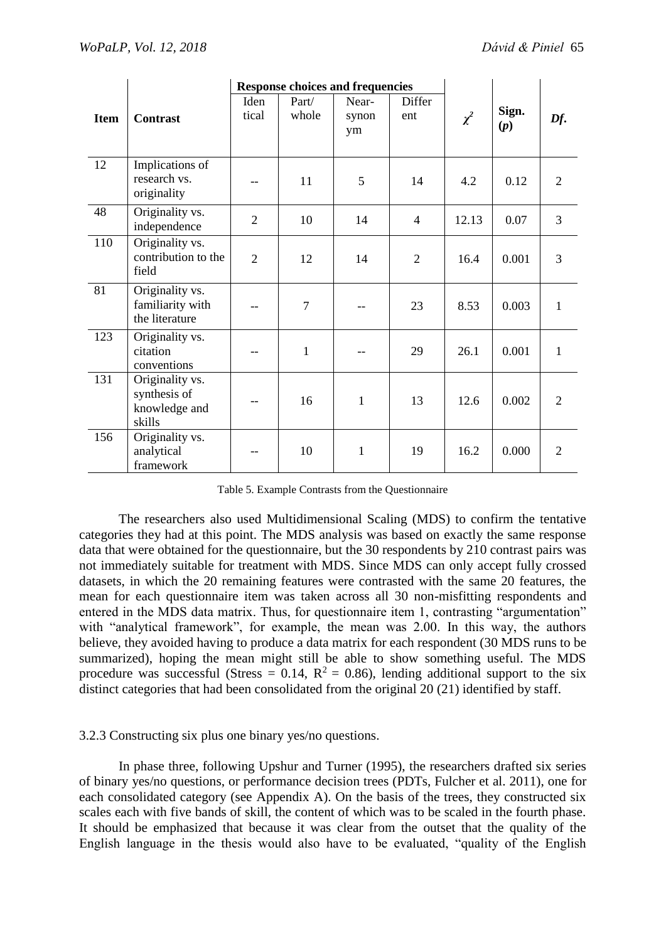|             |                                                            | <b>Response choices and frequencies</b> |                |                      |                |          |              |                 |
|-------------|------------------------------------------------------------|-----------------------------------------|----------------|----------------------|----------------|----------|--------------|-----------------|
| <b>Item</b> | <b>Contrast</b>                                            | Iden<br>tical                           | Part/<br>whole | Near-<br>synon<br>ym | Differ<br>ent  | $\chi^2$ | Sign.<br>(p) | $\mathbf{D}f$ . |
| 12          | Implications of<br>research vs.<br>originality             |                                         | 11             | 5                    | 14             | 4.2      | 0.12         | $\overline{2}$  |
| 48          | Originality vs.<br>independence                            | $\overline{2}$                          | 10             | 14                   | $\overline{4}$ | 12.13    | 0.07         | 3               |
| 110         | Originality vs.<br>contribution to the<br>field            | $\overline{2}$                          | 12             | 14                   | $\overline{2}$ | 16.4     | 0.001        | 3               |
| 81          | Originality vs.<br>familiarity with<br>the literature      |                                         | $\overline{7}$ |                      | 23             | 8.53     | 0.003        | $\mathbf{1}$    |
| 123         | Originality vs.<br>citation<br>conventions                 |                                         | $\mathbf{1}$   |                      | 29             | 26.1     | 0.001        | $\mathbf{1}$    |
| 131         | Originality vs.<br>synthesis of<br>knowledge and<br>skills |                                         | 16             | $\mathbf{1}$         | 13             | 12.6     | 0.002        | $\overline{2}$  |
| 156         | Originality vs.<br>analytical<br>framework                 |                                         | 10             | $\mathbf{1}$         | 19             | 16.2     | 0.000        | $\overline{2}$  |

Table 5. Example Contrasts from the Questionnaire

The researchers also used Multidimensional Scaling (MDS) to confirm the tentative categories they had at this point. The MDS analysis was based on exactly the same response data that were obtained for the questionnaire, but the 30 respondents by 210 contrast pairs was not immediately suitable for treatment with MDS. Since MDS can only accept fully crossed datasets, in which the 20 remaining features were contrasted with the same 20 features, the mean for each questionnaire item was taken across all 30 non-misfitting respondents and entered in the MDS data matrix. Thus, for questionnaire item 1, contrasting "argumentation" with "analytical framework", for example, the mean was 2.00. In this way, the authors believe, they avoided having to produce a data matrix for each respondent (30 MDS runs to be summarized), hoping the mean might still be able to show something useful. The MDS procedure was successful (Stress =  $0.14$ , R<sup>2</sup> = 0.86), lending additional support to the six distinct categories that had been consolidated from the original 20 (21) identified by staff.

#### 3.2.3 Constructing six plus one binary yes/no questions.

In phase three, following Upshur and Turner (1995), the researchers drafted six series of binary yes/no questions, or performance decision trees (PDTs, Fulcher et al. 2011), one for each consolidated category (see Appendix A). On the basis of the trees, they constructed six scales each with five bands of skill, the content of which was to be scaled in the fourth phase. It should be emphasized that because it was clear from the outset that the quality of the English language in the thesis would also have to be evaluated, "quality of the English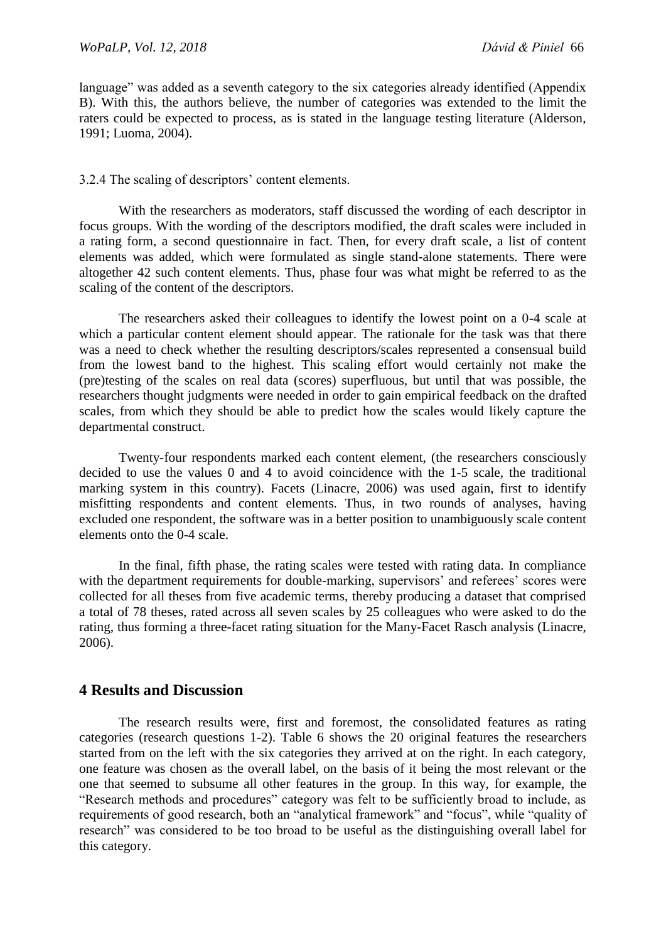language" was added as a seventh category to the six categories already identified (Appendix B). With this, the authors believe, the number of categories was extended to the limit the raters could be expected to process, as is stated in the language testing literature (Alderson, 1991; Luoma, 2004).

#### 3.2.4 The scaling of descriptors' content elements.

With the researchers as moderators, staff discussed the wording of each descriptor in focus groups. With the wording of the descriptors modified, the draft scales were included in a rating form, a second questionnaire in fact. Then, for every draft scale, a list of content elements was added, which were formulated as single stand-alone statements. There were altogether 42 such content elements. Thus, phase four was what might be referred to as the scaling of the content of the descriptors.

The researchers asked their colleagues to identify the lowest point on a 0-4 scale at which a particular content element should appear. The rationale for the task was that there was a need to check whether the resulting descriptors/scales represented a consensual build from the lowest band to the highest. This scaling effort would certainly not make the (pre)testing of the scales on real data (scores) superfluous, but until that was possible, the researchers thought judgments were needed in order to gain empirical feedback on the drafted scales, from which they should be able to predict how the scales would likely capture the departmental construct.

Twenty-four respondents marked each content element, (the researchers consciously decided to use the values 0 and 4 to avoid coincidence with the 1-5 scale, the traditional marking system in this country). Facets (Linacre, 2006) was used again, first to identify misfitting respondents and content elements. Thus, in two rounds of analyses, having excluded one respondent, the software was in a better position to unambiguously scale content elements onto the 0-4 scale.

In the final, fifth phase, the rating scales were tested with rating data. In compliance with the department requirements for double-marking, supervisors' and referees' scores were collected for all theses from five academic terms, thereby producing a dataset that comprised a total of 78 theses, rated across all seven scales by 25 colleagues who were asked to do the rating, thus forming a three-facet rating situation for the Many-Facet Rasch analysis (Linacre, 2006).

### **4 Results and Discussion**

The research results were, first and foremost, the consolidated features as rating categories (research questions 1-2). Table 6 shows the 20 original features the researchers started from on the left with the six categories they arrived at on the right. In each category, one feature was chosen as the overall label, on the basis of it being the most relevant or the one that seemed to subsume all other features in the group. In this way, for example, the "Research methods and procedures" category was felt to be sufficiently broad to include, as requirements of good research, both an "analytical framework" and "focus", while "quality of research" was considered to be too broad to be useful as the distinguishing overall label for this category.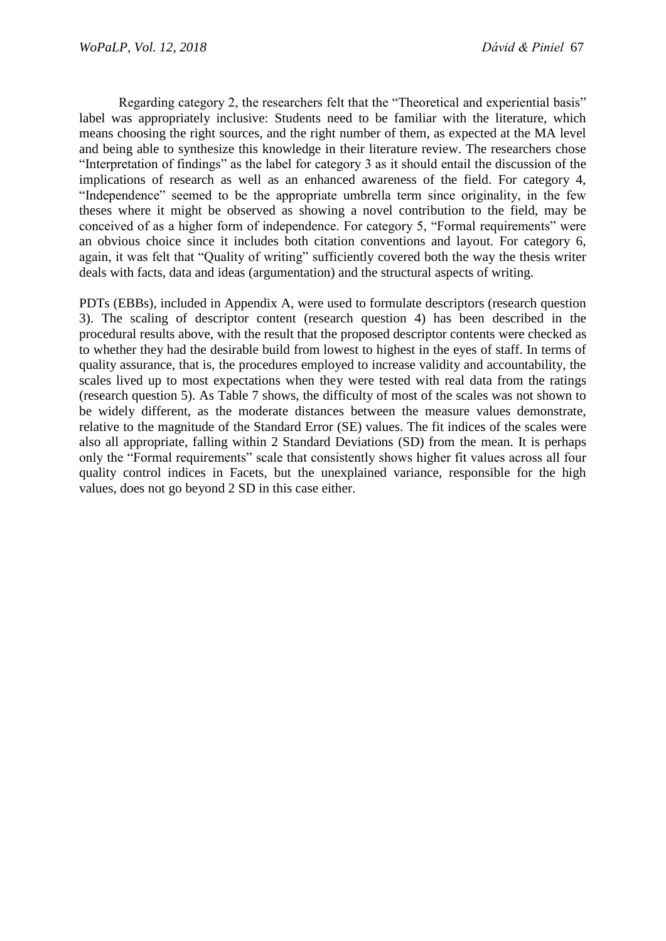Regarding category 2, the researchers felt that the "Theoretical and experiential basis" label was appropriately inclusive: Students need to be familiar with the literature, which means choosing the right sources, and the right number of them, as expected at the MA level and being able to synthesize this knowledge in their literature review. The researchers chose "Interpretation of findings" as the label for category 3 as it should entail the discussion of the implications of research as well as an enhanced awareness of the field. For category 4, "Independence" seemed to be the appropriate umbrella term since originality, in the few theses where it might be observed as showing a novel contribution to the field, may be conceived of as a higher form of independence. For category 5, "Formal requirements" were an obvious choice since it includes both citation conventions and layout. For category 6, again, it was felt that "Quality of writing" sufficiently covered both the way the thesis writer deals with facts, data and ideas (argumentation) and the structural aspects of writing.

PDTs (EBBs), included in Appendix A, were used to formulate descriptors (research question 3). The scaling of descriptor content (research question 4) has been described in the procedural results above, with the result that the proposed descriptor contents were checked as to whether they had the desirable build from lowest to highest in the eyes of staff. In terms of quality assurance, that is, the procedures employed to increase validity and accountability, the scales lived up to most expectations when they were tested with real data from the ratings (research question 5). As Table 7 shows, the difficulty of most of the scales was not shown to be widely different, as the moderate distances between the measure values demonstrate, relative to the magnitude of the Standard Error (SE) values. The fit indices of the scales were also all appropriate, falling within 2 Standard Deviations (SD) from the mean. It is perhaps only the "Formal requirements" scale that consistently shows higher fit values across all four quality control indices in Facets, but the unexplained variance, responsible for the high values, does not go beyond 2 SD in this case either.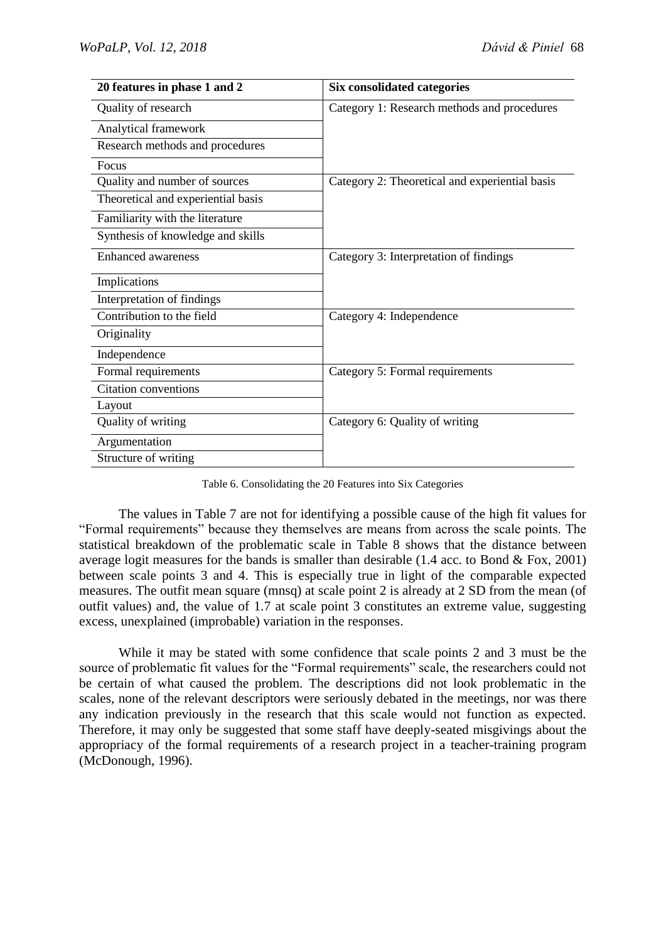| 20 features in phase 1 and 2       | <b>Six consolidated categories</b>             |  |
|------------------------------------|------------------------------------------------|--|
| Quality of research                | Category 1: Research methods and procedures    |  |
| Analytical framework               |                                                |  |
| Research methods and procedures    |                                                |  |
| Focus                              |                                                |  |
| Quality and number of sources      | Category 2: Theoretical and experiential basis |  |
| Theoretical and experiential basis |                                                |  |
| Familiarity with the literature    |                                                |  |
| Synthesis of knowledge and skills  |                                                |  |
| <b>Enhanced awareness</b>          | Category 3: Interpretation of findings         |  |
| Implications                       |                                                |  |
| Interpretation of findings         |                                                |  |
| Contribution to the field          | Category 4: Independence                       |  |
| Originality                        |                                                |  |
| Independence                       |                                                |  |
| Formal requirements                | Category 5: Formal requirements                |  |
| <b>Citation conventions</b>        |                                                |  |
| Layout                             |                                                |  |
| Quality of writing                 | Category 6: Quality of writing                 |  |
| Argumentation                      |                                                |  |
| Structure of writing               |                                                |  |

Table 6. Consolidating the 20 Features into Six Categories

The values in Table 7 are not for identifying a possible cause of the high fit values for "Formal requirements" because they themselves are means from across the scale points. The statistical breakdown of the problematic scale in Table 8 shows that the distance between average logit measures for the bands is smaller than desirable (1.4 acc. to Bond & Fox, 2001) between scale points 3 and 4. This is especially true in light of the comparable expected measures. The outfit mean square (mnsq) at scale point 2 is already at 2 SD from the mean (of outfit values) and, the value of 1.7 at scale point 3 constitutes an extreme value, suggesting excess, unexplained (improbable) variation in the responses.

While it may be stated with some confidence that scale points 2 and 3 must be the source of problematic fit values for the "Formal requirements" scale, the researchers could not be certain of what caused the problem. The descriptions did not look problematic in the scales, none of the relevant descriptors were seriously debated in the meetings, nor was there any indication previously in the research that this scale would not function as expected. Therefore, it may only be suggested that some staff have deeply-seated misgivings about the appropriacy of the formal requirements of a research project in a teacher-training program (McDonough, 1996).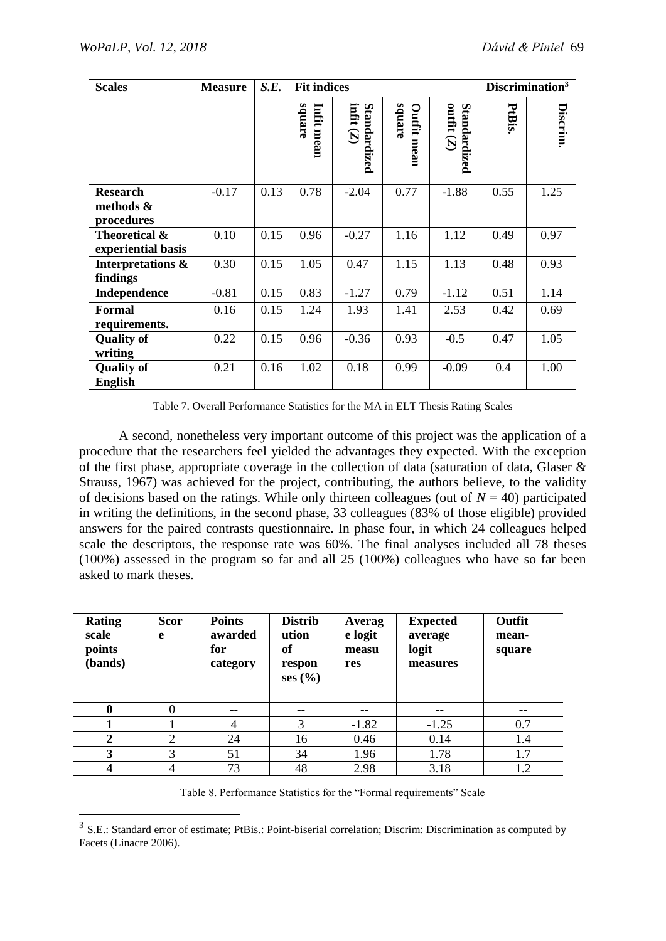1

| <b>Scales</b>                              | <b>Measure</b> | S.E. | <b>Fit indices</b>   |                             |                              |                              | Discrimination <sup>3</sup> |          |
|--------------------------------------------|----------------|------|----------------------|-----------------------------|------------------------------|------------------------------|-----------------------------|----------|
|                                            |                |      | square<br>Infit mean | infit $(Z)$<br>Standardized | square<br><b>Outfit mean</b> | outfit $(Z)$<br>Standardized | PtBis                       | Discrim. |
| <b>Research</b><br>methods &<br>procedures | $-0.17$        | 0.13 | 0.78                 | $-2.04$                     | 0.77                         | $-1.88$                      | 0.55                        | 1.25     |
| Theoretical &<br>experiential basis        | 0.10           | 0.15 | 0.96                 | $-0.27$                     | 1.16                         | 1.12                         | 0.49                        | 0.97     |
| Interpretations &<br>findings              | 0.30           | 0.15 | 1.05                 | 0.47                        | 1.15                         | 1.13                         | 0.48                        | 0.93     |
| Independence                               | $-0.81$        | 0.15 | 0.83                 | $-1.27$                     | 0.79                         | $-1.12$                      | 0.51                        | 1.14     |
| <b>Formal</b><br>requirements.             | 0.16           | 0.15 | 1.24                 | 1.93                        | 1.41                         | 2.53                         | 0.42                        | 0.69     |
| <b>Quality of</b><br>writing               | 0.22           | 0.15 | 0.96                 | $-0.36$                     | 0.93                         | $-0.5$                       | 0.47                        | 1.05     |
| <b>Quality of</b><br><b>English</b>        | 0.21           | 0.16 | 1.02                 | 0.18                        | 0.99                         | $-0.09$                      | 0.4                         | 1.00     |

Table 7. Overall Performance Statistics for the MA in ELT Thesis Rating Scales

A second, nonetheless very important outcome of this project was the application of a procedure that the researchers feel yielded the advantages they expected. With the exception of the first phase, appropriate coverage in the collection of data (saturation of data, Glaser & Strauss, 1967) was achieved for the project, contributing, the authors believe, to the validity of decisions based on the ratings. While only thirteen colleagues (out of  $N = 40$ ) participated in writing the definitions, in the second phase, 33 colleagues (83% of those eligible) provided answers for the paired contrasts questionnaire. In phase four, in which 24 colleagues helped scale the descriptors, the response rate was 60%. The final analyses included all 78 theses (100%) assessed in the program so far and all 25 (100%) colleagues who have so far been asked to mark theses.

| <b>Rating</b><br>scale<br>points<br>(bands) | <b>Scor</b><br>e | <b>Points</b><br>awarded<br>for<br>category | <b>Distrib</b><br>ution<br>of<br>respon<br>ses(%) | Averag<br>e logit<br>measu<br>res | <b>Expected</b><br>average<br>logit<br>measures | Outfit<br>mean-<br>square |
|---------------------------------------------|------------------|---------------------------------------------|---------------------------------------------------|-----------------------------------|-------------------------------------------------|---------------------------|
| $\bf{0}$                                    | $\Omega$         | --                                          | --                                                | --                                |                                                 | --                        |
|                                             |                  | 4                                           | 3                                                 | $-1.82$                           | $-1.25$                                         | 0.7                       |
| $\mathbf 2$                                 | 2                | 24                                          | 16                                                | 0.46                              | 0.14                                            | 1.4                       |
| 3                                           | 3                | 51                                          | 34                                                | 1.96                              | 1.78                                            | 1.7                       |
| 4                                           | 4                | 73                                          | 48                                                | 2.98                              | 3.18                                            | 1.2                       |

Table 8. Performance Statistics for the "Formal requirements" Scale

<sup>&</sup>lt;sup>3</sup> S.E.: Standard error of estimate; PtBis.: Point-biserial correlation; Discrim: Discrimination as computed by Facets (Linacre 2006).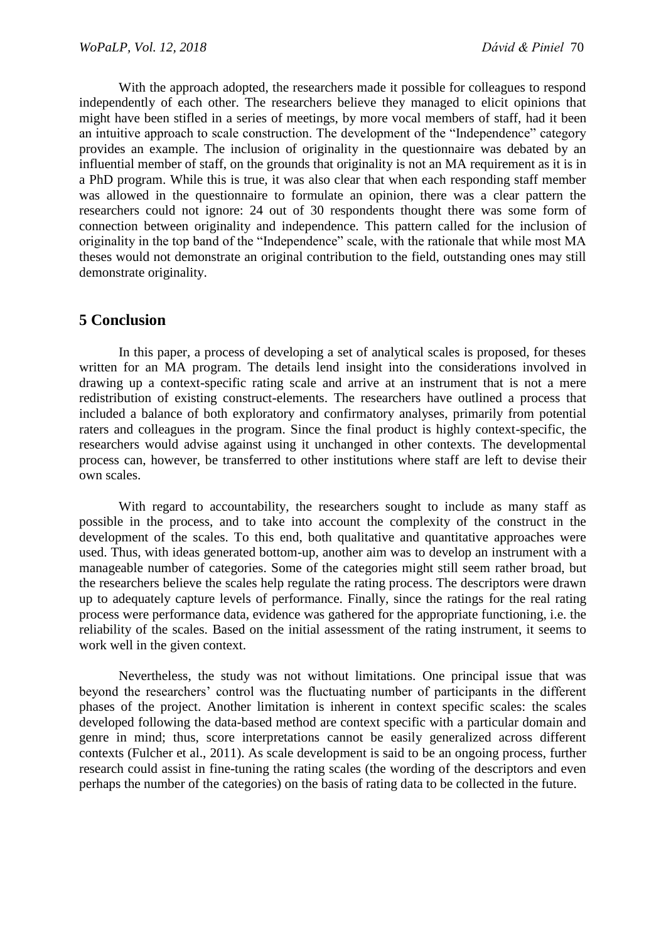With the approach adopted, the researchers made it possible for colleagues to respond independently of each other. The researchers believe they managed to elicit opinions that might have been stifled in a series of meetings, by more vocal members of staff, had it been an intuitive approach to scale construction. The development of the "Independence" category provides an example. The inclusion of originality in the questionnaire was debated by an influential member of staff, on the grounds that originality is not an MA requirement as it is in a PhD program. While this is true, it was also clear that when each responding staff member was allowed in the questionnaire to formulate an opinion, there was a clear pattern the researchers could not ignore: 24 out of 30 respondents thought there was some form of connection between originality and independence. This pattern called for the inclusion of originality in the top band of the "Independence" scale, with the rationale that while most MA theses would not demonstrate an original contribution to the field, outstanding ones may still demonstrate originality.

## **5 Conclusion**

In this paper, a process of developing a set of analytical scales is proposed, for theses written for an MA program. The details lend insight into the considerations involved in drawing up a context-specific rating scale and arrive at an instrument that is not a mere redistribution of existing construct-elements. The researchers have outlined a process that included a balance of both exploratory and confirmatory analyses, primarily from potential raters and colleagues in the program. Since the final product is highly context-specific, the researchers would advise against using it unchanged in other contexts. The developmental process can, however, be transferred to other institutions where staff are left to devise their own scales.

With regard to accountability, the researchers sought to include as many staff as possible in the process, and to take into account the complexity of the construct in the development of the scales. To this end, both qualitative and quantitative approaches were used. Thus, with ideas generated bottom-up, another aim was to develop an instrument with a manageable number of categories. Some of the categories might still seem rather broad, but the researchers believe the scales help regulate the rating process. The descriptors were drawn up to adequately capture levels of performance. Finally, since the ratings for the real rating process were performance data, evidence was gathered for the appropriate functioning, i.e. the reliability of the scales. Based on the initial assessment of the rating instrument, it seems to work well in the given context.

Nevertheless, the study was not without limitations. One principal issue that was beyond the researchers' control was the fluctuating number of participants in the different phases of the project. Another limitation is inherent in context specific scales: the scales developed following the data-based method are context specific with a particular domain and genre in mind; thus, score interpretations cannot be easily generalized across different contexts (Fulcher et al., 2011). As scale development is said to be an ongoing process, further research could assist in fine-tuning the rating scales (the wording of the descriptors and even perhaps the number of the categories) on the basis of rating data to be collected in the future.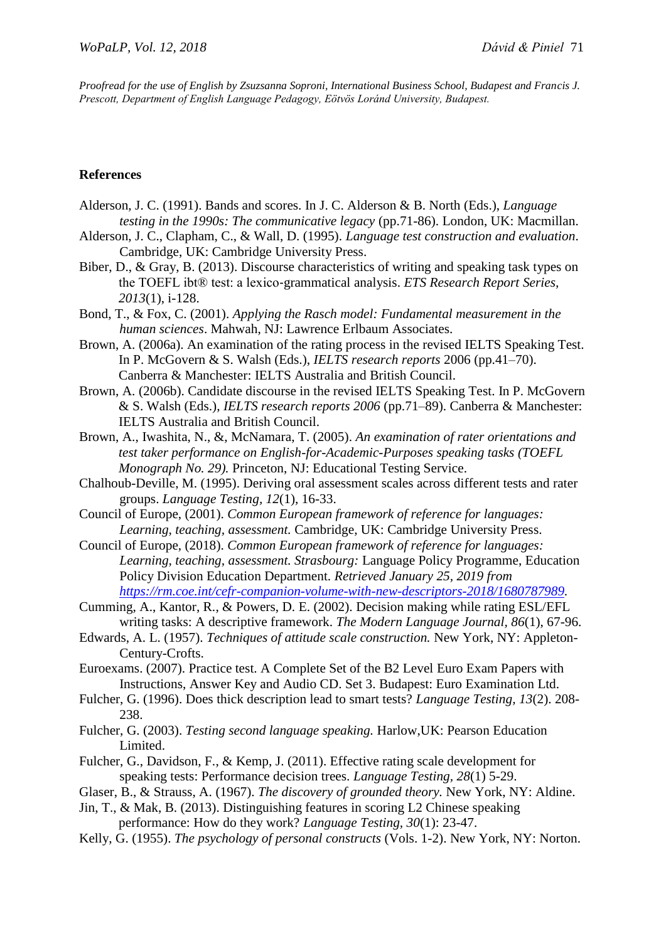*Proofread for the use of English by Zsuzsanna Soproni, International Business School, Budapest and Francis J. Prescott, Department of English Language Pedagogy, Eötvös Loránd University, Budapest.*

#### **References**

- Alderson, J. C. (1991). Bands and scores. In J. C. Alderson & B. North (Eds.), *Language testing in the 1990s: The communicative legacy* (pp.71-86). London, UK: Macmillan.
- Alderson, J. C., Clapham, C., & Wall, D. (1995). *Language test construction and evaluation*. Cambridge, UK: Cambridge University Press.
- Biber, D., & Gray, B. (2013). Discourse characteristics of writing and speaking task types on the TOEFL ibt® test: a lexico‐grammatical analysis. *ETS Research Report Series, 2013*(1), i-128.
- Bond, T., & Fox, C. (2001). *Applying the Rasch model: Fundamental measurement in the human sciences*. Mahwah, NJ: Lawrence Erlbaum Associates.
- Brown, A. (2006a). An examination of the rating process in the revised IELTS Speaking Test. In P. McGovern & S. Walsh (Eds.), *IELTS research reports* 2006 (pp.41–70). Canberra & Manchester: IELTS Australia and British Council.
- Brown, A. (2006b). Candidate discourse in the revised IELTS Speaking Test. In P. McGovern & S. Walsh (Eds.), *IELTS research reports 2006* (pp.71–89). Canberra & Manchester: IELTS Australia and British Council.
- Brown, A., Iwashita, N., &, McNamara, T. (2005). *An examination of rater orientations and test taker performance on English-for-Academic-Purposes speaking tasks (TOEFL Monograph No. 29).* Princeton, NJ: Educational Testing Service.
- Chalhoub-Deville, M. (1995). Deriving oral assessment scales across different tests and rater groups. *Language Testing, 12*(1), 16-33.
- Council of Europe, (2001). *Common European framework of reference for languages: Learning, teaching, assessment.* Cambridge, UK: Cambridge University Press.
- Council of Europe, (2018). *Common European framework of reference for languages: Learning, teaching, assessment. Strasbourg:* Language Policy Programme, Education Policy Division Education Department. *Retrieved January 25, 2019 from [https://rm.coe.int/cefr-companion-volume-with-new-descriptors-2018/1680787989.](https://rm.coe.int/cefr-companion-volume-with-new-descriptors-2018/1680787989)*
- Cumming, A., Kantor, R., & Powers, D. E. (2002). Decision making while rating ESL/EFL writing tasks: A descriptive framework. *The Modern Language Journal, 86*(1), 67-96.
- Edwards, A. L. (1957). *Techniques of attitude scale construction.* New York, NY: Appleton-Century-Crofts.
- Euroexams. (2007). Practice test. A Complete Set of the B2 Level Euro Exam Papers with Instructions, Answer Key and Audio CD. Set 3. Budapest: Euro Examination Ltd.
- Fulcher, G. (1996). Does thick description lead to smart tests? *Language Testing, 13*(2). 208- 238.
- Fulcher, G. (2003). *Testing second language speaking.* Harlow,UK: Pearson Education Limited.
- Fulcher, G., Davidson, F., & Kemp, J. (2011). Effective rating scale development for speaking tests: Performance decision trees. *Language Testing, 28*(1) 5-29.
- Glaser, B., & Strauss, A. (1967). *The discovery of grounded theory.* New York, NY: Aldine.
- Jin, T., & Mak, B. (2013). Distinguishing features in scoring L2 Chinese speaking performance: How do they work? *Language Testing, 30*(1): 23-47.
- Kelly, G. (1955). *The psychology of personal constructs* (Vols. 1-2). New York, NY: Norton.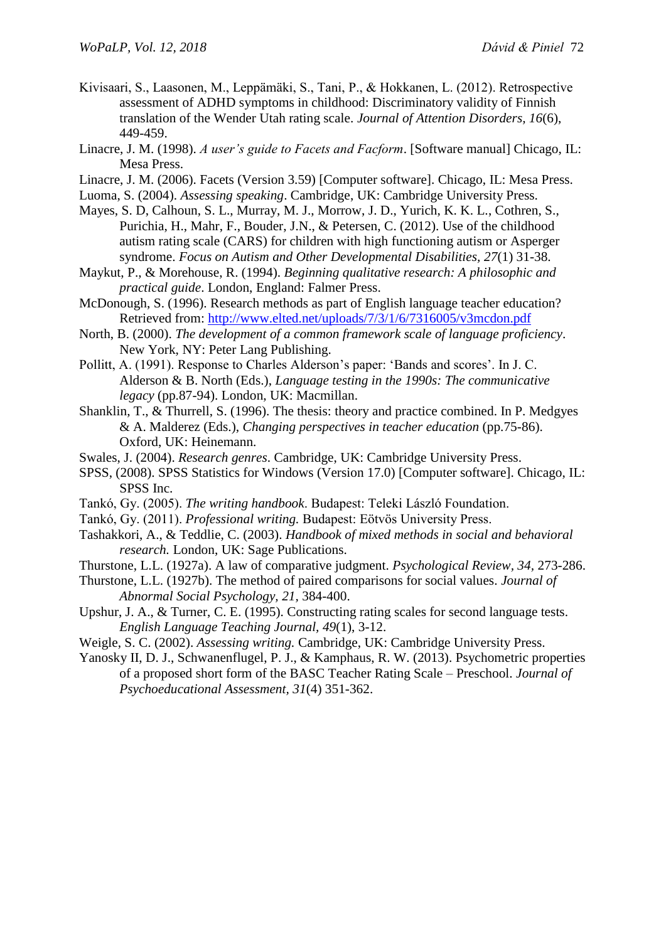- Kivisaari, S., Laasonen, M., Leppämäki, S., Tani, P., & Hokkanen, L. (2012). Retrospective assessment of ADHD symptoms in childhood: Discriminatory validity of Finnish translation of the Wender Utah rating scale. *Journal of Attention Disorders, 16*(6), 449-459.
- Linacre, J. M. (1998). *A user's guide to Facets and Facform*. [Software manual] Chicago, IL: Mesa Press.
- Linacre, J. M. (2006). Facets (Version 3.59) [Computer software]. Chicago, IL: Mesa Press.
- Luoma, S. (2004). *Assessing speaking*. Cambridge, UK: Cambridge University Press.
- Mayes, S. D, Calhoun, S. L., Murray, M. J., Morrow, J. D., Yurich, K. K. L., Cothren, S., Purichia, H., Mahr, F., Bouder, J.N., & Petersen, C. (2012). Use of the childhood autism rating scale (CARS) for children with high functioning autism or Asperger syndrome. *Focus on Autism and Other Developmental Disabilities, 27*(1) 31-38.
- Maykut, P., & Morehouse, R. (1994). *Beginning qualitative research: A philosophic and practical guide*. London, England: Falmer Press.
- McDonough, S. (1996). Research methods as part of English language teacher education? Retrieved from:<http://www.elted.net/uploads/7/3/1/6/7316005/v3mcdon.pdf>
- North, B. (2000). *The development of a common framework scale of language proficiency*. New York, NY: Peter Lang Publishing.
- Pollitt, A. (1991). Response to Charles Alderson's paper: 'Bands and scores'. In J. C. Alderson & B. North (Eds.), *Language testing in the 1990s: The communicative legacy* (pp.87-94). London, UK: Macmillan.
- Shanklin, T., & Thurrell, S. (1996). The thesis: theory and practice combined. In P. Medgyes & A. Malderez (Eds.), *Changing perspectives in teacher education* (pp.75-86). Oxford, UK: Heinemann.
- Swales, J. (2004). *Research genres*. Cambridge, UK: Cambridge University Press.
- SPSS, (2008). SPSS Statistics for Windows (Version 17.0) [Computer software]. Chicago, IL: SPSS Inc.
- Tankó, Gy. (2005). *The writing handbook*. Budapest: Teleki László Foundation.
- Tankó, Gy. (2011). *Professional writing.* Budapest: Eötvös University Press.
- Tashakkori, A., & Teddlie, C. (2003). *[Handbook of mixed methods in social and behavioral](http://www.google.com/books?hl=en&lr=&id=F8BFOM8DCKoC&oi=fnd&pg=PR9&dq=Tashakkori+%26+Teddlie,+2003&ots=gThOzyqAOg&sig=EDo_gTFo_DVfzgvr8ORhFCMsRv8)  [research.](http://www.google.com/books?hl=en&lr=&id=F8BFOM8DCKoC&oi=fnd&pg=PR9&dq=Tashakkori+%26+Teddlie,+2003&ots=gThOzyqAOg&sig=EDo_gTFo_DVfzgvr8ORhFCMsRv8)* London, UK: Sage Publications.
- Thurstone, L.L. (1927a). A law of comparative judgment. *Psychological Review, 34,* 273-286.
- Thurstone, L.L. (1927b). The method of paired comparisons for social values. *Journal of Abnormal Social Psychology, 21,* 384-400.
- Upshur, J. A., & Turner, C. E. (1995). Constructing rating scales for second language tests. *English Language Teaching Journal, 49*(1), 3-12.
- Weigle, S. C. (2002). *Assessing writing.* Cambridge, UK: Cambridge University Press.
- Yanosky II, D. J., Schwanenflugel, P. J., & Kamphaus, R. W. (2013). Psychometric properties of a proposed short form of the BASC Teacher Rating Scale – Preschool. *Journal of Psychoeducational Assessment, 31*(4) 351-362.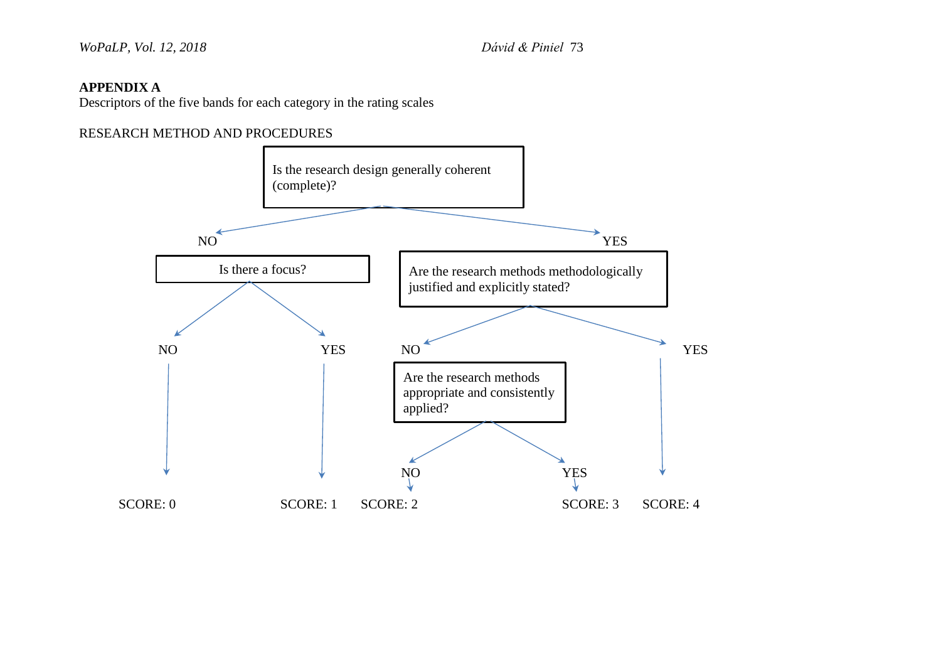### **APPENDIX A**

Descriptors of the five bands for each category in the rating scales

### RESEARCH METHOD AND PROCEDURES

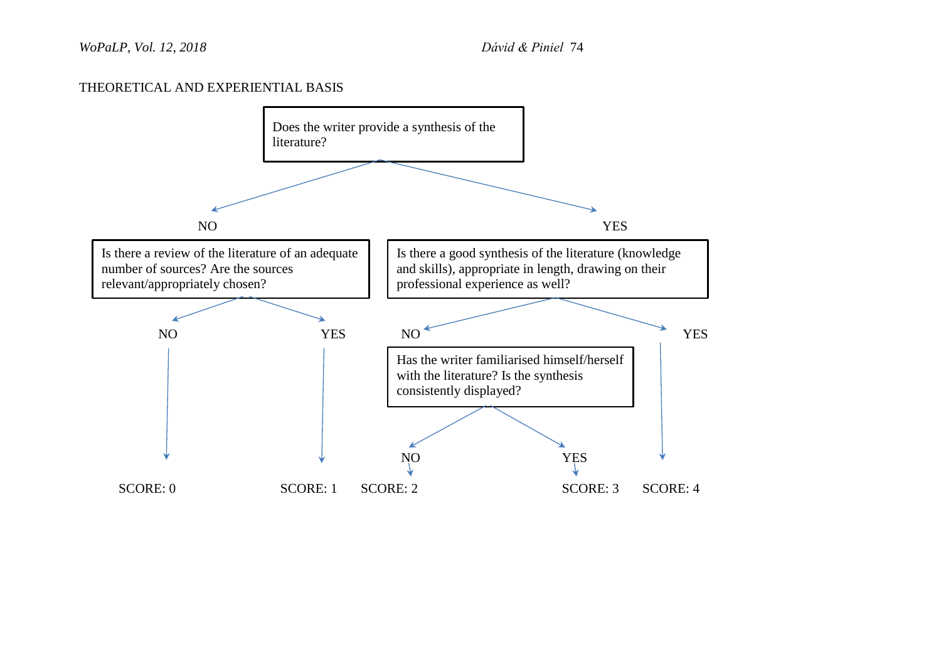### THEORETICAL AND EXPERIENTIAL BASIS

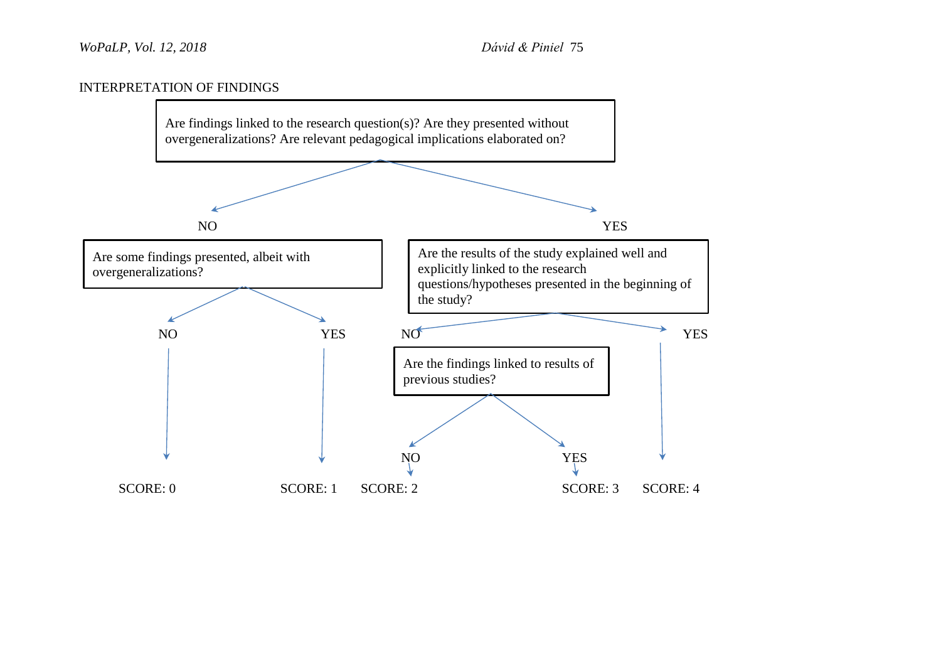### INTERPRETATION OF FINDINGS

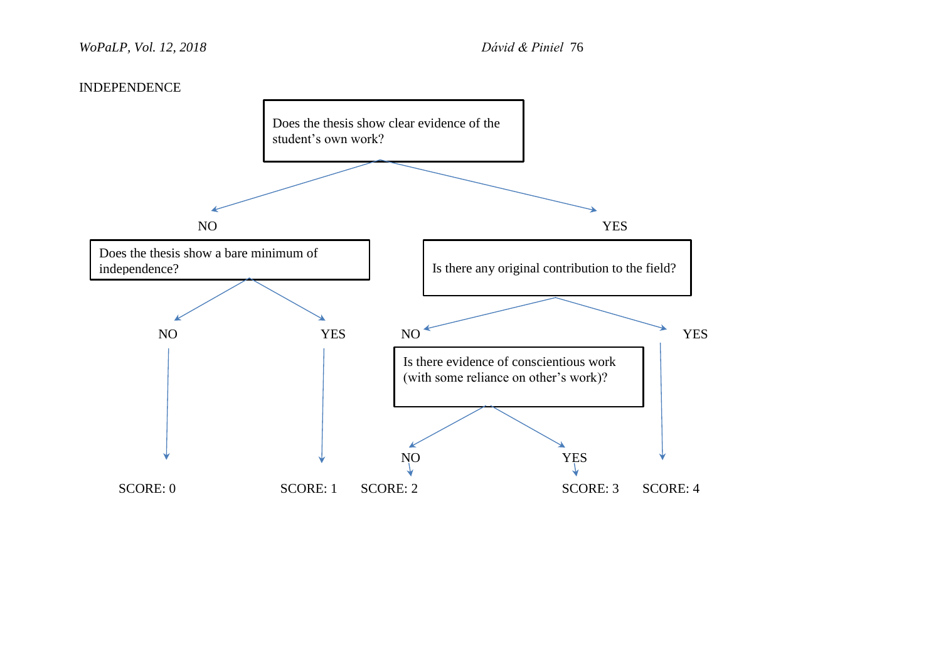#### INDEPENDENCE

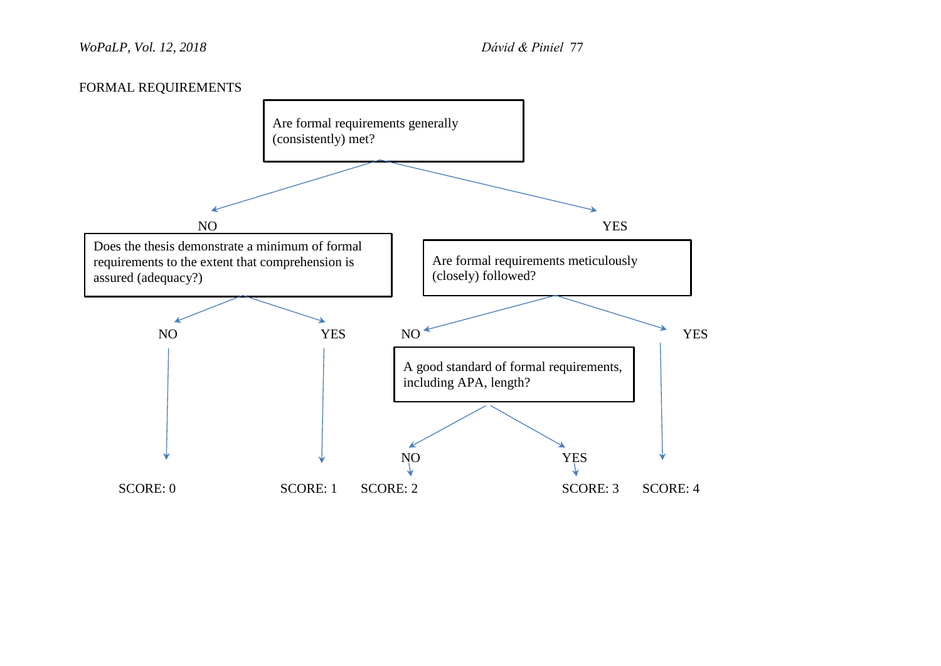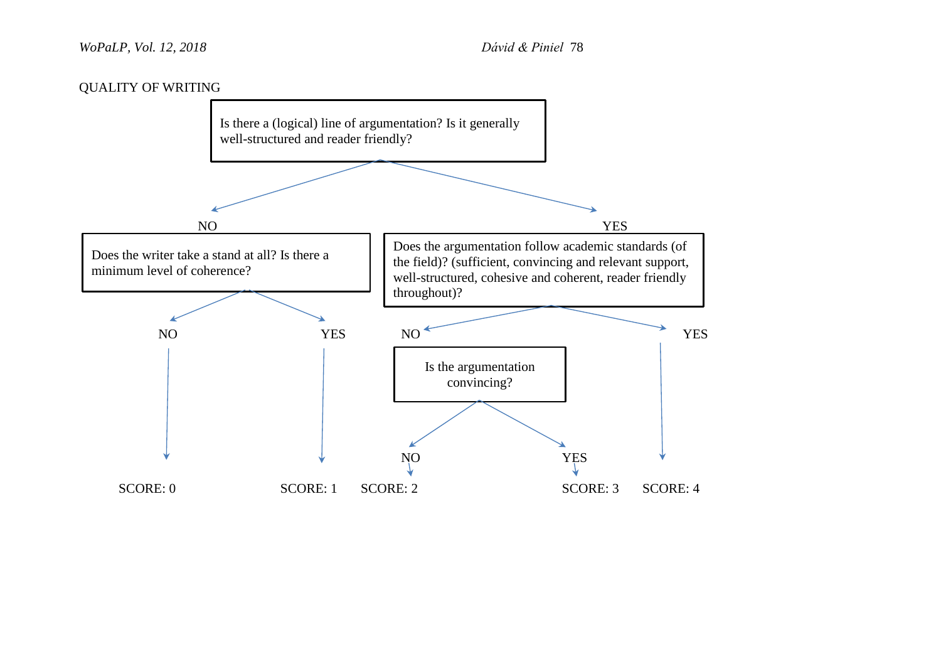### *WoPaLP, Vol. 12, 2018 Dávid & Piniel* 78

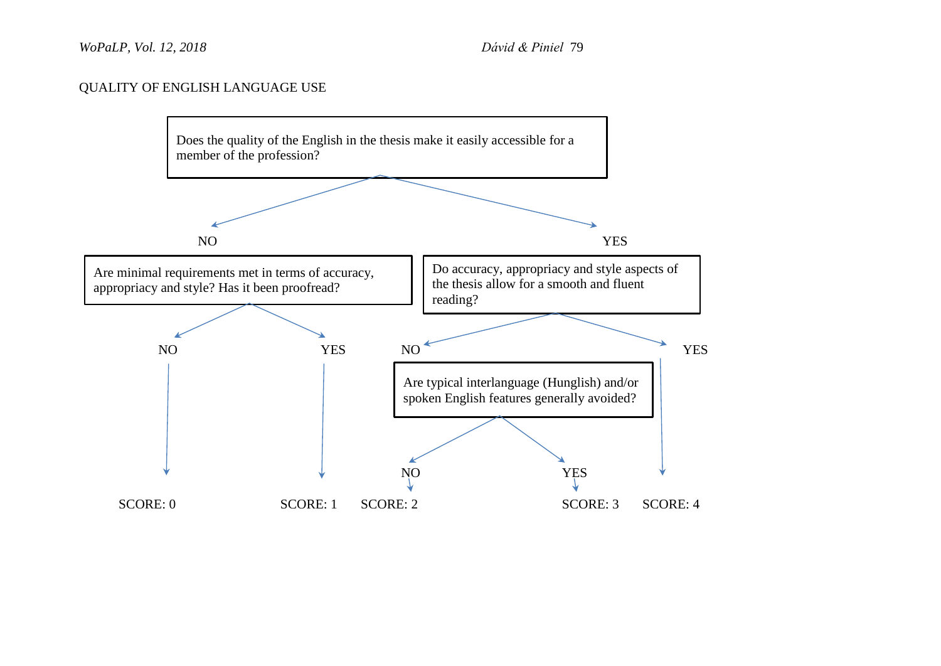### QUALITY OF ENGLISH LANGUAGE USE

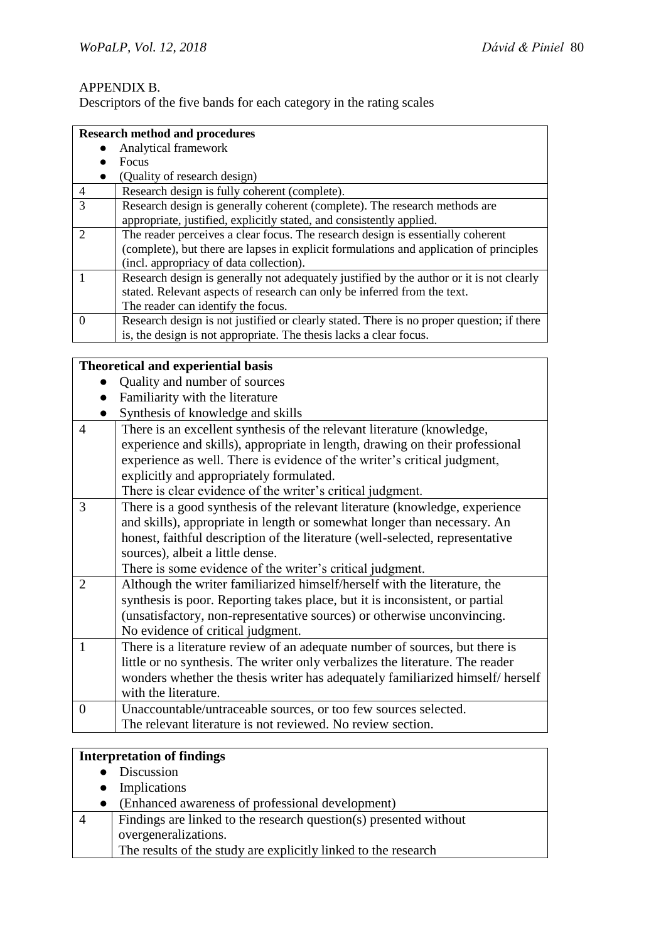### APPENDIX B.

Descriptors of the five bands for each category in the rating scales

|                | <b>Research method and procedures</b>                                                     |
|----------------|-------------------------------------------------------------------------------------------|
|                | Analytical framework                                                                      |
|                | <b>Focus</b>                                                                              |
|                | (Quality of research design)                                                              |
| $\overline{4}$ | Research design is fully coherent (complete).                                             |
| 3              | Research design is generally coherent (complete). The research methods are                |
|                | appropriate, justified, explicitly stated, and consistently applied.                      |
| $\mathcal{D}$  | The reader perceives a clear focus. The research design is essentially coherent           |
|                | (complete), but there are lapses in explicit formulations and application of principles   |
|                | (incl. appropriacy of data collection).                                                   |
|                | Research design is generally not adequately justified by the author or it is not clearly  |
|                | stated. Relevant aspects of research can only be inferred from the text.                  |
|                | The reader can identify the focus.                                                        |
| $\Omega$       | Research design is not justified or clearly stated. There is no proper question; if there |
|                | is, the design is not appropriate. The thesis lacks a clear focus.                        |

|                | is, the design is not appropriate. The thesis lacks a clear focus.             |
|----------------|--------------------------------------------------------------------------------|
|                |                                                                                |
|                | <b>Theoretical and experiential basis</b>                                      |
|                | Quality and number of sources                                                  |
|                | Familiarity with the literature                                                |
|                | Synthesis of knowledge and skills                                              |
| $\overline{4}$ | There is an excellent synthesis of the relevant literature (knowledge,         |
|                | experience and skills), appropriate in length, drawing on their professional   |
|                | experience as well. There is evidence of the writer's critical judgment,       |
|                | explicitly and appropriately formulated.                                       |
|                | There is clear evidence of the writer's critical judgment.                     |
| 3              | There is a good synthesis of the relevant literature (knowledge, experience    |
|                | and skills), appropriate in length or somewhat longer than necessary. An       |
|                | honest, faithful description of the literature (well-selected, representative  |
|                | sources), albeit a little dense.                                               |
|                | There is some evidence of the writer's critical judgment.                      |
| $\overline{2}$ | Although the writer familiarized himself/herself with the literature, the      |
|                | synthesis is poor. Reporting takes place, but it is inconsistent, or partial   |
|                | (unsatisfactory, non-representative sources) or otherwise unconvincing.        |
|                | No evidence of critical judgment.                                              |
| 1              | There is a literature review of an adequate number of sources, but there is    |
|                | little or no synthesis. The writer only verbalizes the literature. The reader  |
|                | wonders whether the thesis writer has adequately familiarized himself/ herself |
|                | with the literature.                                                           |
| $\overline{0}$ | Unaccountable/untraceable sources, or too few sources selected.                |
|                | The relevant literature is not reviewed. No review section.                    |
|                |                                                                                |

# **Interpretation of findings**

- Discussion
- Implications
- (Enhanced awareness of professional development)
- 4 Findings are linked to the research question(s) presented without overgeneralizations. The results of the study are explicitly linked to the research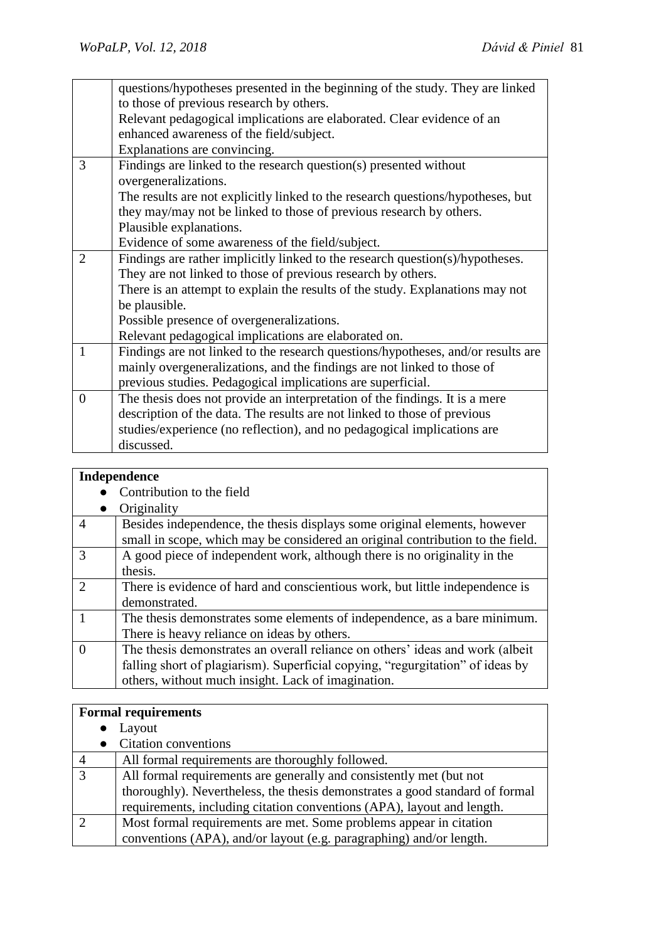| questions/hypotheses presented in the beginning of the study. They are linked    |
|----------------------------------------------------------------------------------|
| to those of previous research by others.                                         |
| Relevant pedagogical implications are elaborated. Clear evidence of an           |
| enhanced awareness of the field/subject.                                         |
| Explanations are convincing.                                                     |
| Findings are linked to the research question(s) presented without                |
| overgeneralizations.                                                             |
| The results are not explicitly linked to the research questions/hypotheses, but  |
| they may/may not be linked to those of previous research by others.              |
| Plausible explanations.                                                          |
| Evidence of some awareness of the field/subject.                                 |
| Findings are rather implicitly linked to the research question(s)/hypotheses.    |
| They are not linked to those of previous research by others.                     |
| There is an attempt to explain the results of the study. Explanations may not    |
| be plausible.                                                                    |
| Possible presence of overgeneralizations.                                        |
| Relevant pedagogical implications are elaborated on.                             |
| Findings are not linked to the research questions/hypotheses, and/or results are |
| mainly overgeneralizations, and the findings are not linked to those of          |
| previous studies. Pedagogical implications are superficial.                      |
| The thesis does not provide an interpretation of the findings. It is a mere      |
| description of the data. The results are not linked to those of previous         |
| studies/experience (no reflection), and no pedagogical implications are          |
| discussed.                                                                       |
|                                                                                  |

# **Independence**

 $\bullet$  Contribution to the field

|               | Originality                                                                    |
|---------------|--------------------------------------------------------------------------------|
| 4             | Besides independence, the thesis displays some original elements, however      |
|               | small in scope, which may be considered an original contribution to the field. |
| $\mathcal{R}$ | A good piece of independent work, although there is no originality in the      |
|               | thesis.                                                                        |
| $\mathcal{D}$ | There is evidence of hard and conscientious work, but little independence is   |
|               | demonstrated.                                                                  |
|               | The thesis demonstrates some elements of independence, as a bare minimum.      |
|               | There is heavy reliance on ideas by others.                                    |
|               | The thesis demonstrates an overall reliance on others' ideas and work (albeit) |
|               | falling short of plagiarism). Superficial copying, "regurgitation" of ideas by |
|               | others, without much insight. Lack of imagination.                             |
|               |                                                                                |

#### **Formal requirements**

- Layout
- Citation conventions

| $\overline{4}$ | All formal requirements are thoroughly followed.                             |
|----------------|------------------------------------------------------------------------------|
|                | All formal requirements are generally and consistently met (but not          |
|                | thoroughly). Nevertheless, the thesis demonstrates a good standard of formal |
|                | requirements, including citation conventions (APA), layout and length.       |
|                | Most formal requirements are met. Some problems appear in citation           |
|                | conventions (APA), and/or layout (e.g. paragraphing) and/or length.          |